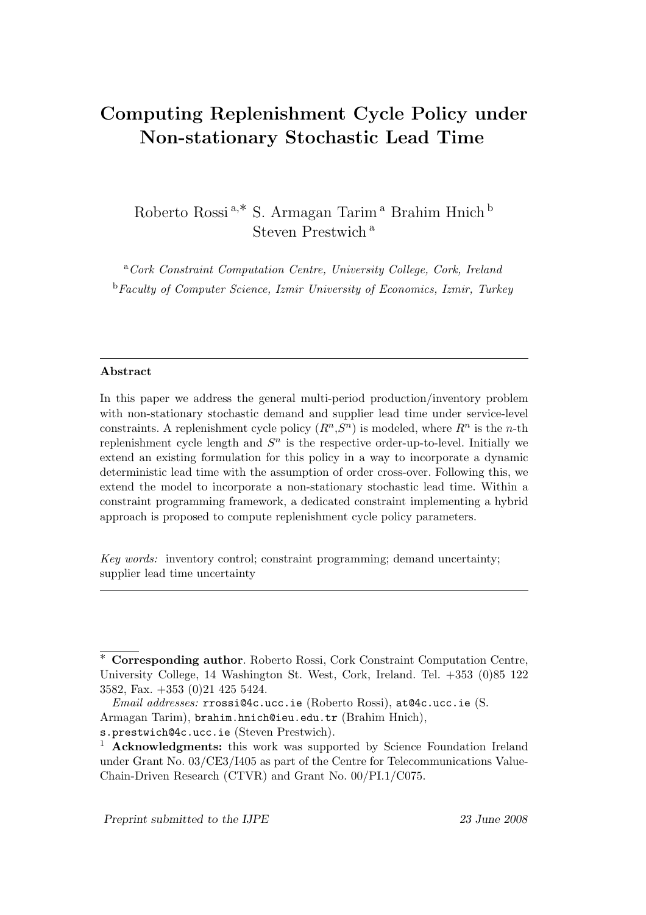# Computing Replenishment Cycle Policy under Non-stationary Stochastic Lead Time

Roberto Rossi $^{\mathrm{a},\ast}$ S. Armagan Tarim $^{\mathrm{a}}$  Brahim Hnich $^{\mathrm{b}}$ Steven Prestwich<sup>a</sup>

<sup>a</sup>Cork Constraint Computation Centre, University College, Cork, Ireland <sup>b</sup>Faculty of Computer Science, Izmir University of Economics, Izmir, Turkey

#### Abstract

In this paper we address the general multi-period production/inventory problem with non-stationary stochastic demand and supplier lead time under service-level constraints. A replenishment cycle policy  $(R^n, S^n)$  is modeled, where  $R^n$  is the *n*-th replenishment cycle length and  $S<sup>n</sup>$  is the respective order-up-to-level. Initially we extend an existing formulation for this policy in a way to incorporate a dynamic deterministic lead time with the assumption of order cross-over. Following this, we extend the model to incorporate a non-stationary stochastic lead time. Within a constraint programming framework, a dedicated constraint implementing a hybrid approach is proposed to compute replenishment cycle policy parameters.

Key words: inventory control; constraint programming; demand uncertainty; supplier lead time uncertainty

<sup>∗</sup> Corresponding author. Roberto Rossi, Cork Constraint Computation Centre, University College, 14 Washington St. West, Cork, Ireland. Tel. +353 (0)85 122 3582, Fax. +353 (0)21 425 5424.

Email addresses: rrossi@4c.ucc.ie (Roberto Rossi), at@4c.ucc.ie (S.

Armagan Tarim), brahim.hnich@ieu.edu.tr (Brahim Hnich),

s.prestwich@4c.ucc.ie (Steven Prestwich).

<sup>&</sup>lt;sup>1</sup> Acknowledgments: this work was supported by Science Foundation Ireland under Grant No. 03/CE3/I405 as part of the Centre for Telecommunications Value-Chain-Driven Research (CTVR) and Grant No. 00/PI.1/C075.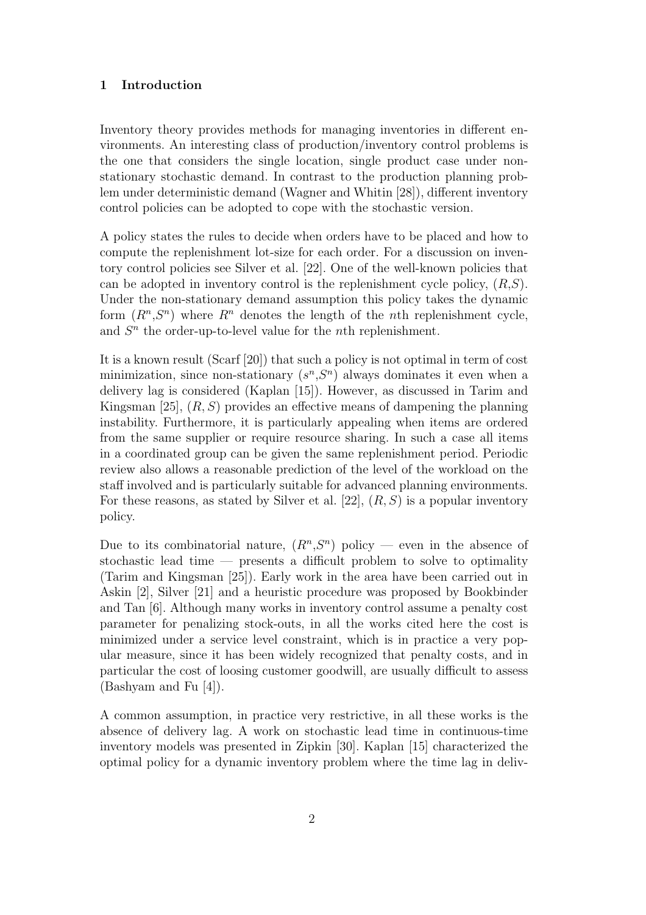# 1 Introduction

Inventory theory provides methods for managing inventories in different environments. An interesting class of production/inventory control problems is the one that considers the single location, single product case under nonstationary stochastic demand. In contrast to the production planning problem under deterministic demand (Wagner and Whitin [28]), different inventory control policies can be adopted to cope with the stochastic version.

A policy states the rules to decide when orders have to be placed and how to compute the replenishment lot-size for each order. For a discussion on inventory control policies see Silver et al. [22]. One of the well-known policies that can be adopted in inventory control is the replenishment cycle policy,  $(R, S)$ . Under the non-stationary demand assumption this policy takes the dynamic form  $(R^n, S^n)$  where  $R^n$  denotes the length of the *n*th replenishment cycle, and  $S<sup>n</sup>$  the order-up-to-level value for the *n*th replenishment.

It is a known result (Scarf [20]) that such a policy is not optimal in term of cost minimization, since non-stationary  $(s<sup>n</sup>,S<sup>n</sup>)$  always dominates it even when a delivery lag is considered (Kaplan [15]). However, as discussed in Tarim and Kingsman [25],  $(R, S)$  provides an effective means of dampening the planning instability. Furthermore, it is particularly appealing when items are ordered from the same supplier or require resource sharing. In such a case all items in a coordinated group can be given the same replenishment period. Periodic review also allows a reasonable prediction of the level of the workload on the staff involved and is particularly suitable for advanced planning environments. For these reasons, as stated by Silver et al. [22],  $(R, S)$  is a popular inventory policy.

Due to its combinatorial nature,  $(R^n, S^n)$  policy — even in the absence of stochastic lead time — presents a difficult problem to solve to optimality (Tarim and Kingsman [25]). Early work in the area have been carried out in Askin [2], Silver [21] and a heuristic procedure was proposed by Bookbinder and Tan [6]. Although many works in inventory control assume a penalty cost parameter for penalizing stock-outs, in all the works cited here the cost is minimized under a service level constraint, which is in practice a very popular measure, since it has been widely recognized that penalty costs, and in particular the cost of loosing customer goodwill, are usually difficult to assess (Bashyam and Fu [4]).

A common assumption, in practice very restrictive, in all these works is the absence of delivery lag. A work on stochastic lead time in continuous-time inventory models was presented in Zipkin [30]. Kaplan [15] characterized the optimal policy for a dynamic inventory problem where the time lag in deliv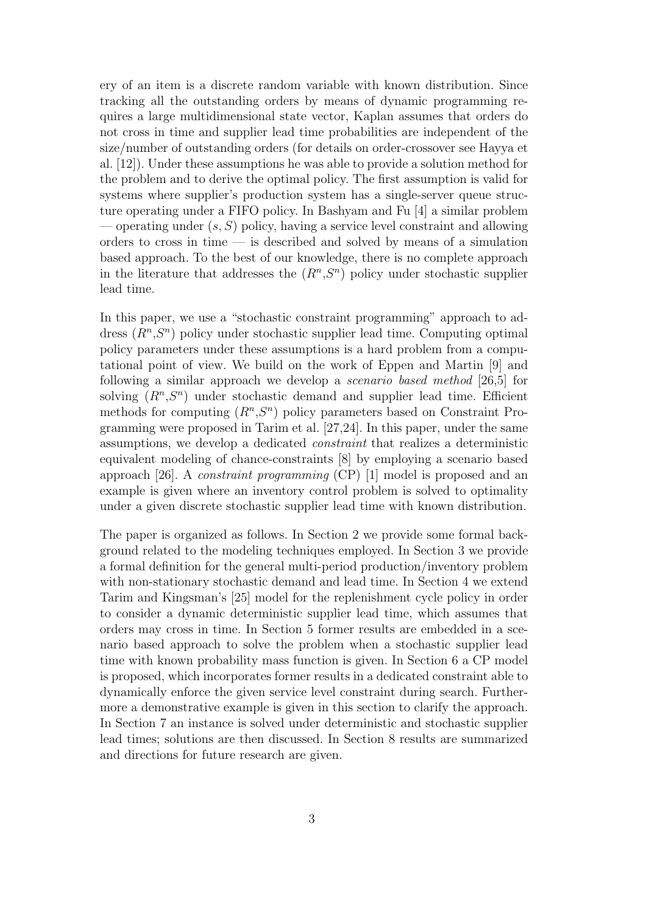ery of an item is a discrete random variable with known distribution. Since tracking all the outstanding orders by means of dynamic programming requires a large multidimensional state vector, Kaplan assumes that orders do not cross in time and supplier lead time probabilities are independent of the size/number of outstanding orders (for details on order-crossover see Hayya et al. [12]). Under these assumptions he was able to provide a solution method for the problem and to derive the optimal policy. The first assumption is valid for systems where supplier's production system has a single-server queue structure operating under a FIFO policy. In Bashyam and Fu [4] a similar problem — operating under  $(s, S)$  policy, having a service level constraint and allowing orders to cross in time — is described and solved by means of a simulation based approach. To the best of our knowledge, there is no complete approach in the literature that addresses the  $(R^n, S^n)$  policy under stochastic supplier lead time.

In this paper, we use a "stochastic constraint programming" approach to address  $(R^n, S^n)$  policy under stochastic supplier lead time. Computing optimal policy parameters under these assumptions is a hard problem from a computational point of view. We build on the work of Eppen and Martin [9] and following a similar approach we develop a scenario based method [26,5] for solving  $(R^n, S^n)$  under stochastic demand and supplier lead time. Efficient methods for computing  $(R^n, S^n)$  policy parameters based on Constraint Programming were proposed in Tarim et al. [27,24]. In this paper, under the same assumptions, we develop a dedicated constraint that realizes a deterministic equivalent modeling of chance-constraints [8] by employing a scenario based approach [26]. A constraint programming (CP) [1] model is proposed and an example is given where an inventory control problem is solved to optimality under a given discrete stochastic supplier lead time with known distribution.

The paper is organized as follows. In Section 2 we provide some formal background related to the modeling techniques employed. In Section 3 we provide a formal definition for the general multi-period production/inventory problem with non-stationary stochastic demand and lead time. In Section 4 we extend Tarim and Kingsman's [25] model for the replenishment cycle policy in order to consider a dynamic deterministic supplier lead time, which assumes that orders may cross in time. In Section 5 former results are embedded in a scenario based approach to solve the problem when a stochastic supplier lead time with known probability mass function is given. In Section 6 a CP model is proposed, which incorporates former results in a dedicated constraint able to dynamically enforce the given service level constraint during search. Furthermore a demonstrative example is given in this section to clarify the approach. In Section 7 an instance is solved under deterministic and stochastic supplier lead times; solutions are then discussed. In Section 8 results are summarized and directions for future research are given.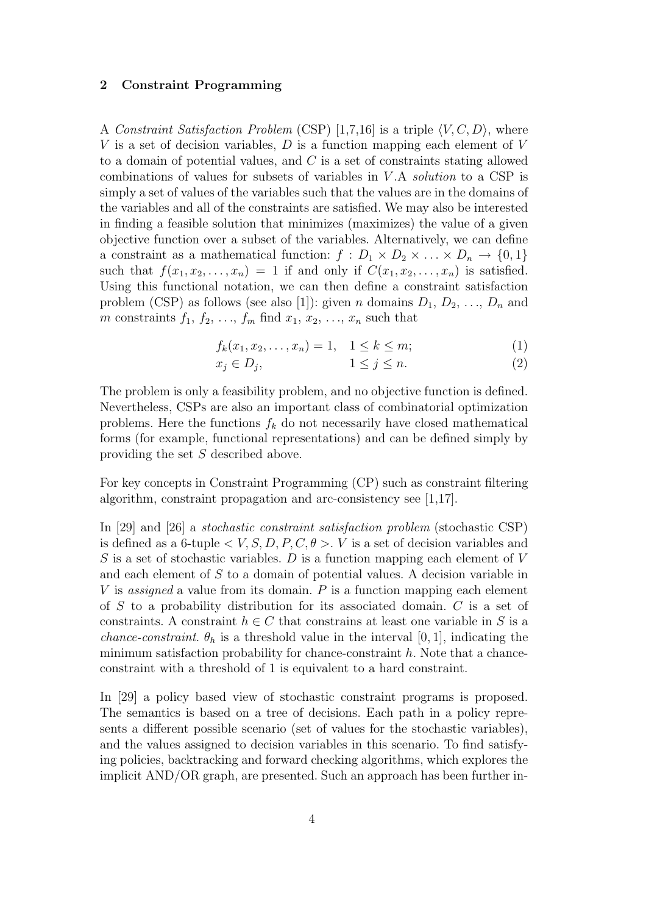## 2 Constraint Programming

A Constraint Satisfaction Problem (CSP) [1,7,16] is a triple  $\langle V, C, D \rangle$ , where V is a set of decision variables,  $D$  is a function mapping each element of V to a domain of potential values, and  $C$  is a set of constraints stating allowed combinations of values for subsets of variables in V .A solution to a CSP is simply a set of values of the variables such that the values are in the domains of the variables and all of the constraints are satisfied. We may also be interested in finding a feasible solution that minimizes (maximizes) the value of a given objective function over a subset of the variables. Alternatively, we can define a constraint as a mathematical function:  $f : D_1 \times D_2 \times ... \times D_n \to \{0,1\}$ such that  $f(x_1, x_2, \ldots, x_n) = 1$  if and only if  $C(x_1, x_2, \ldots, x_n)$  is satisfied. Using this functional notation, we can then define a constraint satisfaction problem (CSP) as follows (see also [1]): given *n* domains  $D_1, D_2, \ldots, D_n$  and m constraints  $f_1, f_2, \ldots, f_m$  find  $x_1, x_2, \ldots, x_n$  such that

$$
f_k(x_1, x_2, \dots, x_n) = 1, \quad 1 \le k \le m; \tag{1}
$$

$$
x_j \in D_j, \qquad \qquad 1 \le j \le n. \tag{2}
$$

The problem is only a feasibility problem, and no objective function is defined. Nevertheless, CSPs are also an important class of combinatorial optimization problems. Here the functions  $f_k$  do not necessarily have closed mathematical forms (for example, functional representations) and can be defined simply by providing the set S described above.

For key concepts in Constraint Programming (CP) such as constraint filtering algorithm, constraint propagation and arc-consistency see [1,17].

In [29] and [26] a stochastic constraint satisfaction problem (stochastic CSP) is defined as a 6-tuple  $\langle V, S, D, P, C, \theta \rangle$ . V is a set of decision variables and S is a set of stochastic variables. D is a function mapping each element of  $V$ and each element of S to a domain of potential values. A decision variable in V is *assigned* a value from its domain.  $P$  is a function mapping each element of S to a probability distribution for its associated domain.  $C$  is a set of constraints. A constraint  $h \in C$  that constrains at least one variable in S is a *chance-constraint.*  $\theta_h$  is a threshold value in the interval [0, 1], indicating the minimum satisfaction probability for chance-constraint  $h$ . Note that a chanceconstraint with a threshold of 1 is equivalent to a hard constraint.

In [29] a policy based view of stochastic constraint programs is proposed. The semantics is based on a tree of decisions. Each path in a policy represents a different possible scenario (set of values for the stochastic variables), and the values assigned to decision variables in this scenario. To find satisfying policies, backtracking and forward checking algorithms, which explores the implicit AND/OR graph, are presented. Such an approach has been further in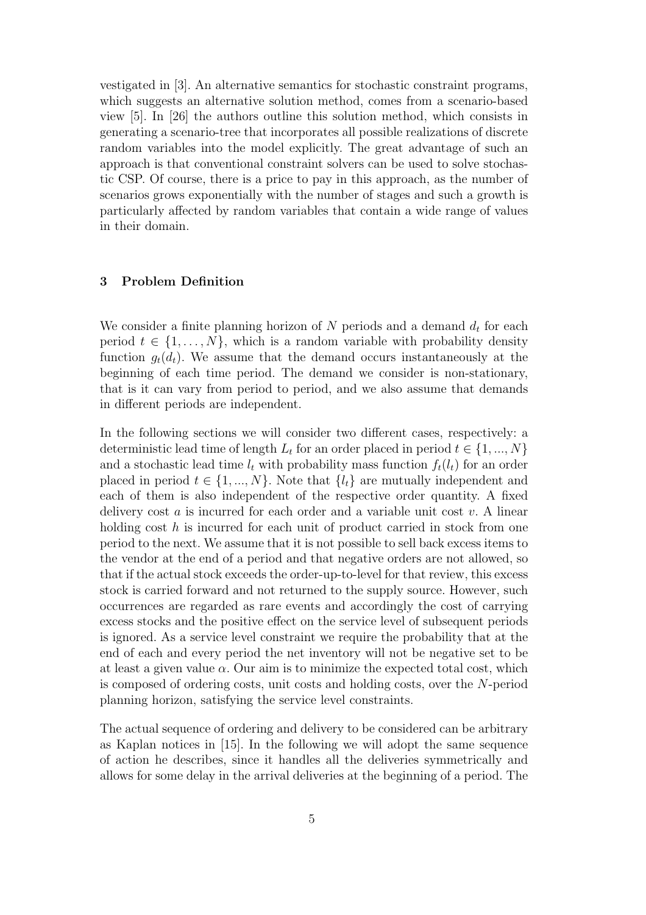vestigated in [3]. An alternative semantics for stochastic constraint programs, which suggests an alternative solution method, comes from a scenario-based view [5]. In [26] the authors outline this solution method, which consists in generating a scenario-tree that incorporates all possible realizations of discrete random variables into the model explicitly. The great advantage of such an approach is that conventional constraint solvers can be used to solve stochastic CSP. Of course, there is a price to pay in this approach, as the number of scenarios grows exponentially with the number of stages and such a growth is particularly affected by random variables that contain a wide range of values in their domain.

# 3 Problem Definition

We consider a finite planning horizon of  $N$  periods and a demand  $d_t$  for each period  $t \in \{1, \ldots, N\}$ , which is a random variable with probability density function  $g_t(d_t)$ . We assume that the demand occurs instantaneously at the beginning of each time period. The demand we consider is non-stationary, that is it can vary from period to period, and we also assume that demands in different periods are independent.

In the following sections we will consider two different cases, respectively: a deterministic lead time of length  $L_t$  for an order placed in period  $t \in \{1, ..., N\}$ and a stochastic lead time  $l_t$  with probability mass function  $f_t(l_t)$  for an order placed in period  $t \in \{1, ..., N\}$ . Note that  $\{l_t\}$  are mutually independent and each of them is also independent of the respective order quantity. A fixed delivery cost a is incurred for each order and a variable unit cost v. A linear holding cost  $h$  is incurred for each unit of product carried in stock from one period to the next. We assume that it is not possible to sell back excess items to the vendor at the end of a period and that negative orders are not allowed, so that if the actual stock exceeds the order-up-to-level for that review, this excess stock is carried forward and not returned to the supply source. However, such occurrences are regarded as rare events and accordingly the cost of carrying excess stocks and the positive effect on the service level of subsequent periods is ignored. As a service level constraint we require the probability that at the end of each and every period the net inventory will not be negative set to be at least a given value  $\alpha$ . Our aim is to minimize the expected total cost, which is composed of ordering costs, unit costs and holding costs, over the N-period planning horizon, satisfying the service level constraints.

The actual sequence of ordering and delivery to be considered can be arbitrary as Kaplan notices in [15]. In the following we will adopt the same sequence of action he describes, since it handles all the deliveries symmetrically and allows for some delay in the arrival deliveries at the beginning of a period. The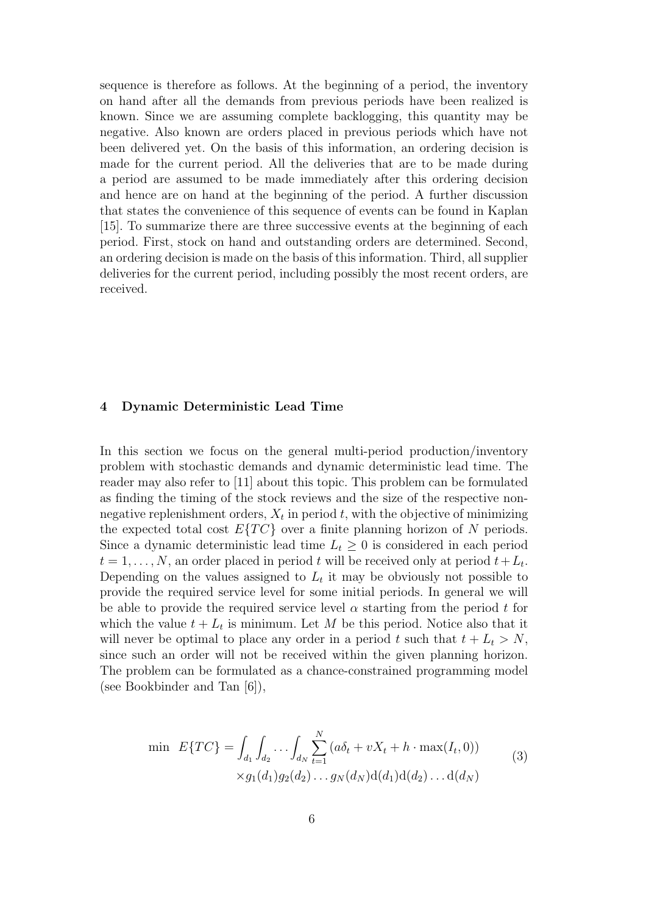sequence is therefore as follows. At the beginning of a period, the inventory on hand after all the demands from previous periods have been realized is known. Since we are assuming complete backlogging, this quantity may be negative. Also known are orders placed in previous periods which have not been delivered yet. On the basis of this information, an ordering decision is made for the current period. All the deliveries that are to be made during a period are assumed to be made immediately after this ordering decision and hence are on hand at the beginning of the period. A further discussion that states the convenience of this sequence of events can be found in Kaplan [15]. To summarize there are three successive events at the beginning of each period. First, stock on hand and outstanding orders are determined. Second, an ordering decision is made on the basis of this information. Third, all supplier deliveries for the current period, including possibly the most recent orders, are received.

# 4 Dynamic Deterministic Lead Time

In this section we focus on the general multi-period production/inventory problem with stochastic demands and dynamic deterministic lead time. The reader may also refer to [11] about this topic. This problem can be formulated as finding the timing of the stock reviews and the size of the respective nonnegative replenishment orders,  $X_t$  in period t, with the objective of minimizing the expected total cost  $E\{TC\}$  over a finite planning horizon of N periods. Since a dynamic deterministic lead time  $L_t \geq 0$  is considered in each period  $t = 1, \ldots, N$ , an order placed in period t will be received only at period  $t + L_t$ . Depending on the values assigned to  $L_t$  it may be obviously not possible to provide the required service level for some initial periods. In general we will be able to provide the required service level  $\alpha$  starting from the period t for which the value  $t + L_t$  is minimum. Let M be this period. Notice also that it will never be optimal to place any order in a period t such that  $t + L_t > N$ , since such an order will not be received within the given planning horizon. The problem can be formulated as a chance-constrained programming model (see Bookbinder and Tan [6]),

$$
\min \ E\{TC\} = \int_{d_1} \int_{d_2} \dots \int_{d_N} \sum_{t=1}^N (a\delta_t + vX_t + h \cdot \max(I_t, 0))
$$
\n
$$
\times g_1(d_1)g_2(d_2) \dots g_N(d_N)d(d_1)d(d_2)\dots d(d_N)
$$
\n(3)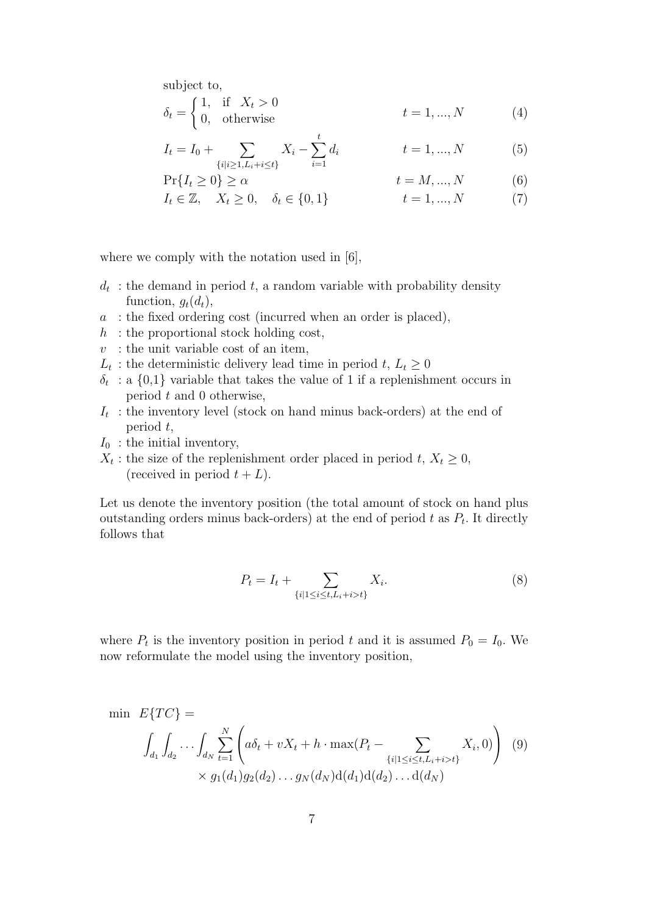subject to, (

$$
\delta_t = \begin{cases} 1, & \text{if } X_t > 0 \\ 0, & \text{otherwise} \end{cases} \qquad t = 1, \dots, N \tag{4}
$$

$$
I_t = I_0 + \sum_{\{i|i\geq 1, L_i + i \leq t\}} X_i - \sum_{i=1}^t d_i \qquad t = 1, ..., N \qquad (5)
$$

$$
\Pr\{I_t \ge 0\} \ge \alpha \qquad \qquad t = M, ..., N \qquad (6)
$$

$$
I_t \in \mathbb{Z}, \quad X_t \ge 0, \quad \delta_t \in \{0, 1\} \qquad t = 1, \dots, N \tag{7}
$$

where we comply with the notation used in [6],

- $d_t$ : the demand in period t, a random variable with probability density function,  $g_t(d_t)$ ,
- $a$ : the fixed ordering cost (incurred when an order is placed),
- $h$ : the proportional stock holding cost,
- $v$ : the unit variable cost of an item,
- $L_t$ : the deterministic delivery lead time in period  $t, L_t \geq 0$
- $\delta_t$ : a  $\{0,1\}$  variable that takes the value of 1 if a replenishment occurs in period  $t$  and  $0$  otherwise,
- $I_t$ : the inventory level (stock on hand minus back-orders) at the end of period t,
- $I_0$ : the initial inventory,
- $X_t$ : the size of the replenishment order placed in period t,  $X_t \geq 0$ , (received in period  $t + L$ ).

Let us denote the inventory position (the total amount of stock on hand plus outstanding orders minus back-orders) at the end of period  $t$  as  $P_t$ . It directly follows that

$$
P_t = I_t + \sum_{\{i|1 \le i \le t, L_i + i > t\}} X_i.
$$
 (8)

where  $P_t$  is the inventory position in period t and it is assumed  $P_0 = I_0$ . We now reformulate the model using the inventory position,

$$
\min E\{TC\} = \int_{d_1} \int_{d_2} \cdots \int_{d_N} \sum_{t=1}^N \left( a\delta_t + vX_t + h \cdot \max(P_t - \sum_{\{i \mid 1 \le i \le t, L_i + i > t\}} X_i, 0) \right) (9) \times g_1(d_1)g_2(d_2) \dots g_N(d_N) d(d_1) d(d_2) \dots d(d_N)
$$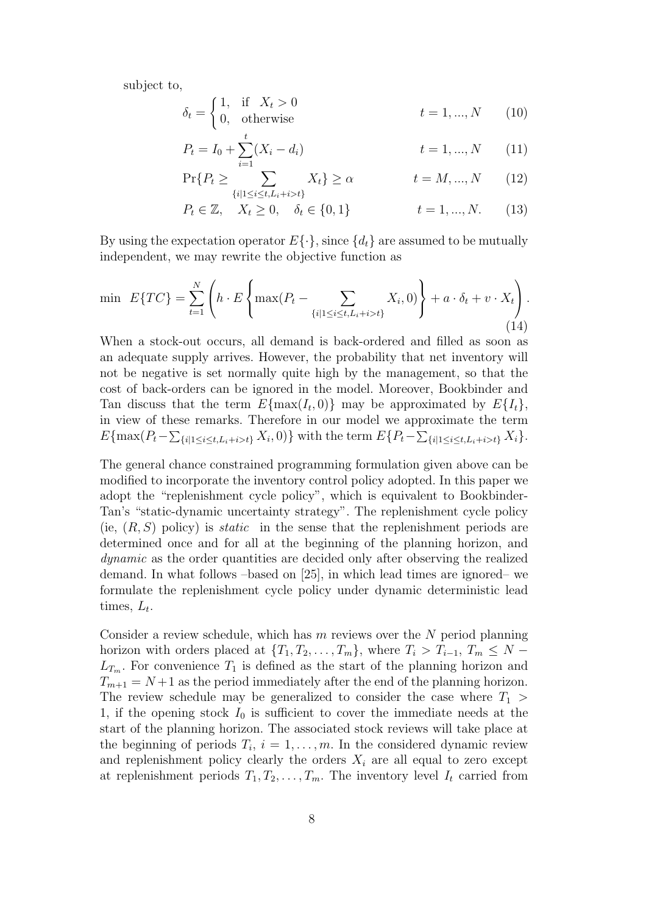subject to,

$$
\delta_t = \begin{cases} 1, & \text{if } X_t > 0 \\ 0, & \text{otherwise} \end{cases} \qquad t = 1, \dots, N \qquad (10)
$$

$$
P_t = I_0 + \sum_{i=1}^t (X_i - d_i) \qquad \qquad t = 1, ..., N \qquad (11)
$$

$$
\Pr\{P_t \ge \sum_{\{i|1 \le i \le t, L_i + i > t\}} X_t\} \ge \alpha \qquad t = M, ..., N \qquad (12)
$$

$$
P_t \in \mathbb{Z}, \quad X_t \ge 0, \quad \delta_t \in \{0, 1\} \qquad t = 1, ..., N. \tag{13}
$$

By using the expectation operator  $E\{\cdot\}$ , since  $\{d_t\}$  are assumed to be mutually independent, we may rewrite the objective function as

$$
\min \ E\{TC\} = \sum_{t=1}^{N} \left( h \cdot E \left\{ \max(P_t - \sum_{\{i \mid 1 \le i \le t, L_i + i > t\}} X_i, 0) \right\} + a \cdot \delta_t + v \cdot X_t \right). \tag{14}
$$

When a stock-out occurs, all demand is back-ordered and filled as soon as an adequate supply arrives. However, the probability that net inventory will not be negative is set normally quite high by the management, so that the cost of back-orders can be ignored in the model. Moreover, Bookbinder and Tan discuss that the term  $E{\max(I_t, 0)}$  may be approximated by  $E{I_t}$ , in view of these remarks. Therefore in our model we approximate the term  $E\{\max(P_t - \sum_{i|1 \le i \le t, L_i + i > t\}} X_i, 0)\}\$  with the term  $E\{P_t - \sum_{i|1 \le i \le t, L_i + i > t\}} X_i\}.$ 

The general chance constrained programming formulation given above can be modified to incorporate the inventory control policy adopted. In this paper we adopt the "replenishment cycle policy", which is equivalent to Bookbinder-Tan's "static-dynamic uncertainty strategy". The replenishment cycle policy (ie,  $(R, S)$  policy) is *static* in the sense that the replenishment periods are determined once and for all at the beginning of the planning horizon, and dynamic as the order quantities are decided only after observing the realized demand. In what follows –based on [25], in which lead times are ignored– we formulate the replenishment cycle policy under dynamic deterministic lead times,  $L_t$ .

Consider a review schedule, which has  $m$  reviews over the  $N$  period planning horizon with orders placed at  $\{T_1, T_2, \ldots, T_m\}$ , where  $T_i > T_{i-1}$ ,  $T_m \leq N L_{T_m}$ . For convenience  $T_1$  is defined as the start of the planning horizon and  $T_{m+1} = N+1$  as the period immediately after the end of the planning horizon. The review schedule may be generalized to consider the case where  $T_1$ 1, if the opening stock  $I_0$  is sufficient to cover the immediate needs at the start of the planning horizon. The associated stock reviews will take place at the beginning of periods  $T_i$ ,  $i = 1, \ldots, m$ . In the considered dynamic review and replenishment policy clearly the orders  $X_i$  are all equal to zero except at replenishment periods  $T_1, T_2, \ldots, T_m$ . The inventory level  $I_t$  carried from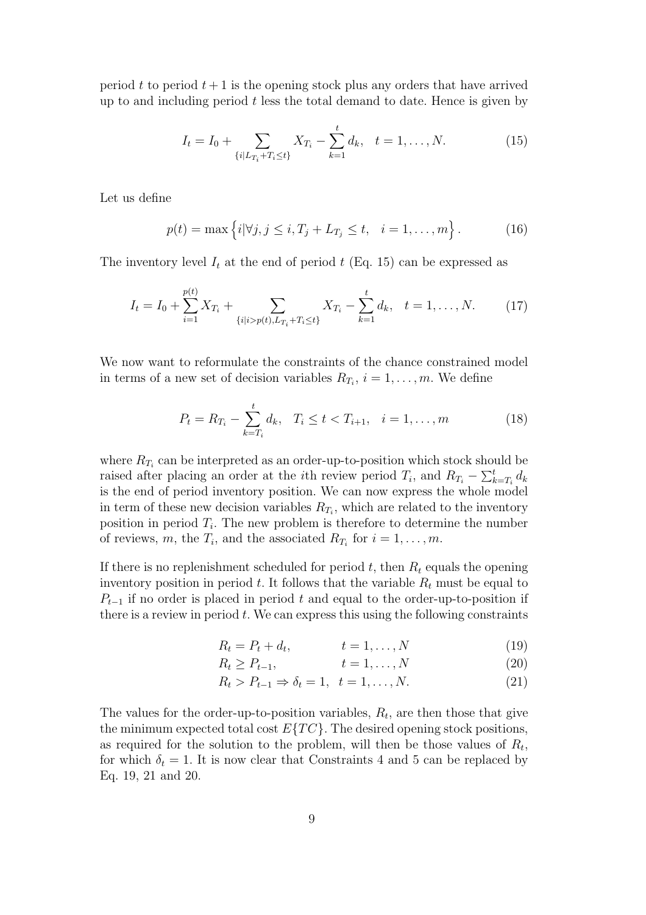period t to period  $t + 1$  is the opening stock plus any orders that have arrived up to and including period  $t$  less the total demand to date. Hence is given by

$$
I_t = I_0 + \sum_{\{i \mid L_{T_i} + T_i \le t\}} X_{T_i} - \sum_{k=1}^t d_k, \quad t = 1, \dots, N. \tag{15}
$$

Let us define

$$
p(t) = \max \{i | \forall j, j \le i, T_j + L_{T_j} \le t, i = 1,..., m\}.
$$
 (16)

The inventory level  $I_t$  at the end of period t (Eq. 15) can be expressed as

$$
I_t = I_0 + \sum_{i=1}^{p(t)} X_{T_i} + \sum_{\{i \mid i > p(t), L_{T_i} + T_i \le t\}} X_{T_i} - \sum_{k=1}^t d_k, \quad t = 1, \dots, N. \tag{17}
$$

We now want to reformulate the constraints of the chance constrained model in terms of a new set of decision variables  $R_{T_i}$ ,  $i = 1, \ldots, m$ . We define

$$
P_t = R_{T_i} - \sum_{k=T_i}^{t} d_k, \quad T_i \le t < T_{i+1}, \quad i = 1, \dots, m \tag{18}
$$

where  $R_{T_i}$  can be interpreted as an order-up-to-position which stock should be raised after placing an order at the *i*th review period  $T_i$ , and  $R_{T_i} - \sum_{k}^{t}$  $_{k=T_i}^t$   $d_k$ is the end of period inventory position. We can now express the whole model in term of these new decision variables  $R_{T_i}$ , which are related to the inventory position in period  $T_i$ . The new problem is therefore to determine the number of reviews, m, the  $T_i$ , and the associated  $R_{T_i}$  for  $i = 1, \ldots, m$ .

If there is no replenishment scheduled for period t, then  $R_t$  equals the opening inventory position in period t. It follows that the variable  $R_t$  must be equal to  $P_{t-1}$  if no order is placed in period t and equal to the order-up-to-position if there is a review in period  $t$ . We can express this using the following constraints

$$
R_t = P_t + d_t, \qquad \qquad t = 1, \dots, N \tag{19}
$$

$$
R_t \ge P_{t-1}, \qquad t = 1, \dots, N \tag{20}
$$

$$
R_t > P_{t-1} \Rightarrow \delta_t = 1, \quad t = 1, \dots, N. \tag{21}
$$

The values for the order-up-to-position variables,  $R_t$ , are then those that give the minimum expected total cost  $E\{TC\}$ . The desired opening stock positions, as required for the solution to the problem, will then be those values of  $R_t$ , for which  $\delta_t = 1$ . It is now clear that Constraints 4 and 5 can be replaced by Eq. 19, 21 and 20.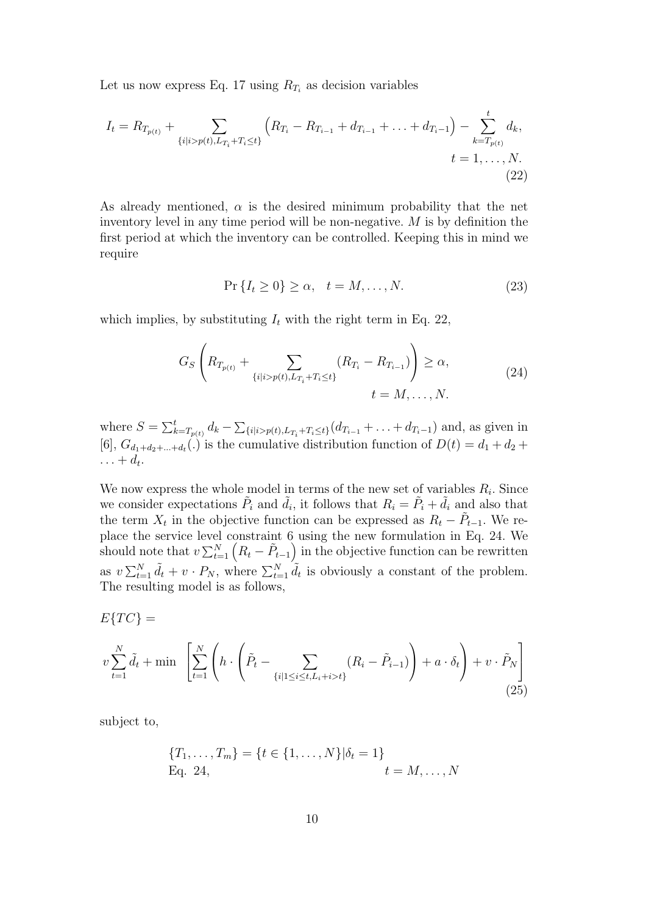Let us now express Eq. 17 using  $R_{T_i}$  as decision variables

$$
I_{t} = R_{T_{p(t)}} + \sum_{\{i|i > p(t), L_{T_i} + T_i \le t\}} \left( R_{T_i} - R_{T_{i-1}} + d_{T_{i-1}} + \ldots + d_{T_i - 1} \right) - \sum_{k = T_{p(t)}}^{t} d_k,
$$
\n
$$
t = 1, \ldots, N.
$$
\n(22)

As already mentioned,  $\alpha$  is the desired minimum probability that the net inventory level in any time period will be non-negative. M is by definition the first period at which the inventory can be controlled. Keeping this in mind we require

$$
\Pr\left\{I_t \ge 0\right\} \ge \alpha, \quad t = M, \dots, N. \tag{23}
$$

which implies, by substituting  $I_t$  with the right term in Eq. 22,

$$
G_S \left( R_{T_{p(t)}} + \sum_{\{i \mid i > p(t), L_{T_i} + T_i \le t\}} (R_{T_i} - R_{T_{i-1}}) \right) \ge \alpha, \tag{24}
$$
\n
$$
t = M, \dots, N.
$$

where  $S = \sum_{k=1}^{t}$  $_{k=T_{p(t)}}^t d_k - \sum$  ${_{i|i>p(t),L_{T_i}+T_i\leq t\}}(d_{T_{i-1}} + \ldots + d_{T_i-1})$  and, as given in [6],  $G_{d_1+d_2+\dots+d_t}(.)$  is the cumulative distribution function of  $D(t) = d_1 + d_2 +$  $\ldots + d_t.$ 

We now express the whole model in terms of the new set of variables  $R_i$ . Since we consider expectations  $\tilde{P}_i$  and  $\tilde{d}_i$ , it follows that  $R_i = \tilde{P}_i + \tilde{d}_i$  and also that the term  $X_t$  in the objective function can be expressed as  $R_t - \tilde{P}_{t-1}$ . We replace the service level constraint  $6$  using the new formulation in Eq. 24. We place the service level constraint b using the new formulation in Eq. 24. We<br>should note that  $v \sum_{t=1}^{N} (R_t - \tilde{P}_{t-1})$  in the objective function can be rewritten as  $v \sum_{t=1}^{N} \tilde{d}_t + v \cdot P_N$ , where  $\sum_{t=1}^{N} \tilde{d}_t$  is obviously a constant of the problem. The resulting model is as follows,

$$
E\{TC\} =
$$

$$
v\sum_{t=1}^{N} \tilde{d}_t + \min \left[ \sum_{t=1}^{N} \left( h \cdot \left( \tilde{P}_t - \sum_{\{i \mid 1 \le i \le t, L_i + i > t\}} (R_i - \tilde{P}_{i-1}) \right) + a \cdot \delta_t \right) + v \cdot \tilde{P}_N \right]
$$
(25)

subject to,

$$
{T_1, \ldots, T_m} = {t \in {1, \ldots, N} | \delta_t = 1}
$$
  
Eq. 24, 
$$
t = M, \ldots, N
$$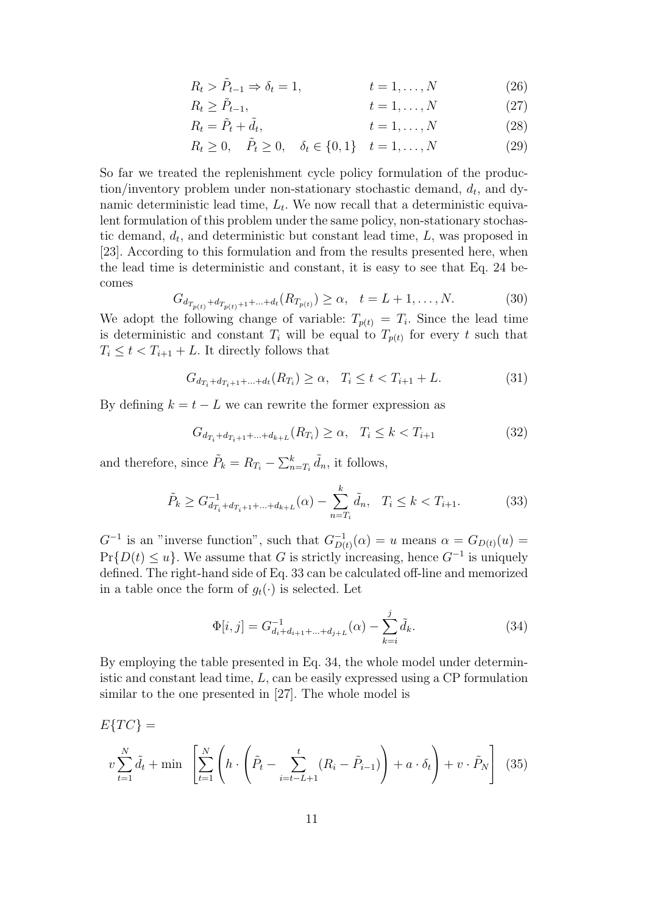$$
R_t > \tilde{P}_{t-1} \Rightarrow \delta_t = 1, \qquad t = 1, \dots, N \tag{26}
$$

$$
R_t \ge \tilde{P}_{t-1}, \qquad t = 1, \dots, N \tag{27}
$$

$$
R_t = \tilde{P}_t + \tilde{d}_t, \qquad t = 1, \dots, N \qquad (28)
$$

$$
R_t \ge 0, \quad \tilde{P}_t \ge 0, \quad \delta_t \in \{0, 1\} \quad t = 1, \dots, N
$$
\n(29)

So far we treated the replenishment cycle policy formulation of the produc- $\chi$  tion/inventory problem under non-stationary stochastic demand,  $d_t$ , and dynamic deterministic lead time,  $L_t$ . We now recall that a deterministic equivalent formulation of this problem under the same policy, non-stationary stochastic demand,  $d_t$ , and deterministic but constant lead time,  $L$ , was proposed in [23]. According to this formulation and from the results presented here, when the lead time is deterministic and constant, it is easy to see that Eq. 24 becomes

$$
G_{d_{T_{p(t)}} + d_{T_{p(t)} + 1} + \ldots + d_t}(R_{T_{p(t)}}) \ge \alpha, \quad t = L + 1, \ldots, N. \tag{30}
$$

We adopt the following change of variable:  $T_{p(t)} = T_i$ . Since the lead time is deterministic and constant  $T_i$  will be equal to  $T_{p(t)}$  for every t such that  $T_i \leq t < T_{i+1} + L$ . It directly follows that

$$
G_{d_{T_i} + d_{T_i + 1} + \dots + d_t}(R_{T_i}) \ge \alpha, \quad T_i \le t < T_{i+1} + L. \tag{31}
$$

By defining  $k = t - L$  we can rewrite the former expression as

$$
G_{d_{T_i} + d_{T_i + 1} + \dots + d_{k+L}}(R_{T_i}) \ge \alpha, \quad T_i \le k < T_{i+1} \tag{32}
$$

and therefore, since  $\tilde{P}_k = R_{T_i} - \sum_{n=1}^{k}$  $_{n=T_i}^k \tilde{d}_n$ , it follows,

$$
\tilde{P}_k \ge G_{d_{T_i} + d_{T_i + 1} + \dots + d_{k+L}}^{-1}(\alpha) - \sum_{n = T_i}^{k} \tilde{d}_n, \quad T_i \le k < T_{i+1}.\tag{33}
$$

 $G^{-1}$  is an "inverse function", such that  $G_{D}^{-1}$  $_{D(t)}^{-1}(\alpha) = u$  means  $\alpha = G_{D(t)}(u) =$  $Pr\{D(t) \leq u\}$ . We assume that G is strictly increasing, hence  $G^{-1}$  is uniquely defined. The right-hand side of Eq. 33 can be calculated off-line and memorized in a table once the form of  $g_t(\cdot)$  is selected. Let

$$
\Phi[i,j] = G_{d_i + d_{i+1} + \dots + d_{j+L}}^{-1}(\alpha) - \sum_{k=i}^{j} \tilde{d}_k.
$$
\n(34)

By employing the table presented in Eq. 34, the whole model under deterministic and constant lead time,  $L$ , can be easily expressed using a CP formulation similar to the one presented in [27]. The whole model is

$$
E\{TC\} = \n v \sum_{t=1}^{N} \tilde{d}_t + \min \left[ \sum_{t=1}^{N} \left( h \cdot \left( \tilde{P}_t - \sum_{i=t-L+1}^{t} (R_i - \tilde{P}_{i-1}) \right) + a \cdot \delta_t \right) + v \cdot \tilde{P}_N \right] \tag{35}
$$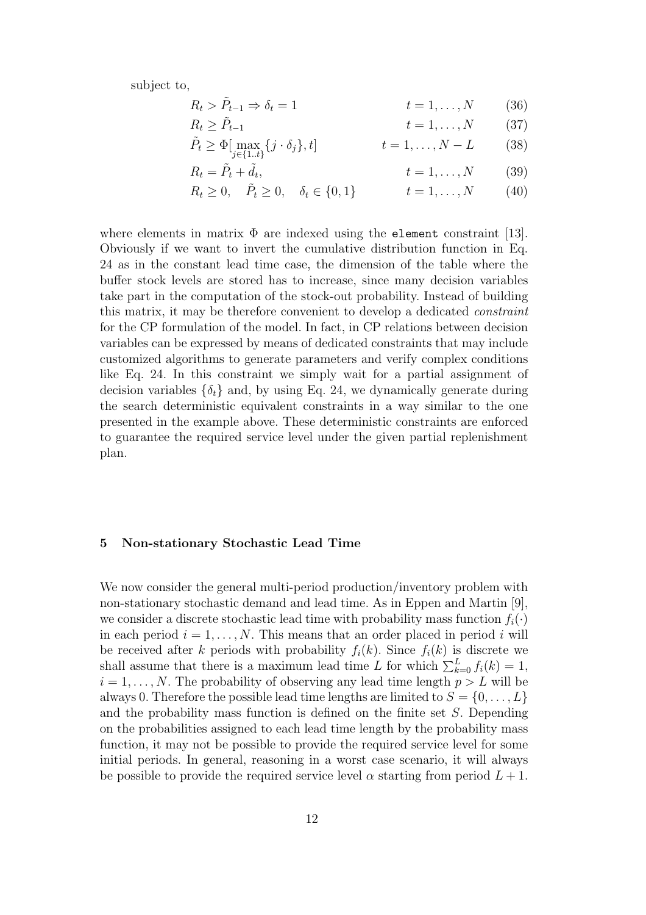subject to,

$$
R_t > \tilde{P}_{t-1} \Rightarrow \delta_t = 1 \qquad \qquad t = 1, \dots, N \qquad (36)
$$

- $R_t > \tilde{P}_{t-1}$  $t = 1, \ldots, N$  (37)
- $\tilde{P}_t \geq \Phi[\max_{j \in \{1..t\}}$  ${t} = 1, \ldots, N - L$  (38)

$$
R_t = \tilde{P}_t + \tilde{d}_t, \qquad t = 1, \dots, N \qquad (39)
$$

 $R_t \geq 0$ ,  $\tilde{P}_t \geq 0$ ,  $\delta_t \in \{0, 1\}$   $t = 1, ..., N$  (40)

where elements in matrix  $\Phi$  are indexed using the **element** constraint [13]. Obviously if we want to invert the cumulative distribution function in Eq. 24 as in the constant lead time case, the dimension of the table where the buffer stock levels are stored has to increase, since many decision variables take part in the computation of the stock-out probability. Instead of building this matrix, it may be therefore convenient to develop a dedicated constraint for the CP formulation of the model. In fact, in CP relations between decision variables can be expressed by means of dedicated constraints that may include customized algorithms to generate parameters and verify complex conditions like Eq. 24. In this constraint we simply wait for a partial assignment of decision variables  $\{\delta_t\}$  and, by using Eq. 24, we dynamically generate during the search deterministic equivalent constraints in a way similar to the one presented in the example above. These deterministic constraints are enforced to guarantee the required service level under the given partial replenishment plan.

## 5 Non-stationary Stochastic Lead Time

We now consider the general multi-period production/inventory problem with non-stationary stochastic demand and lead time. As in Eppen and Martin [9], we consider a discrete stochastic lead time with probability mass function  $f_i(\cdot)$ in each period  $i = 1, \ldots, N$ . This means that an order placed in period i will be received after k periods with probability  $f_i(k)$ . Since  $f_i(k)$  is discrete we shall assume that there is a maximum lead time L for which  $\sum_{k=0}^{L} f_i(k) = 1$ ,  $i = 1, \ldots, N$ . The probability of observing any lead time length  $p > L$  will be always 0. Therefore the possible lead time lengths are limited to  $S = \{0, \ldots, L\}$ and the probability mass function is defined on the finite set S. Depending on the probabilities assigned to each lead time length by the probability mass function, it may not be possible to provide the required service level for some initial periods. In general, reasoning in a worst case scenario, it will always be possible to provide the required service level  $\alpha$  starting from period  $L + 1$ .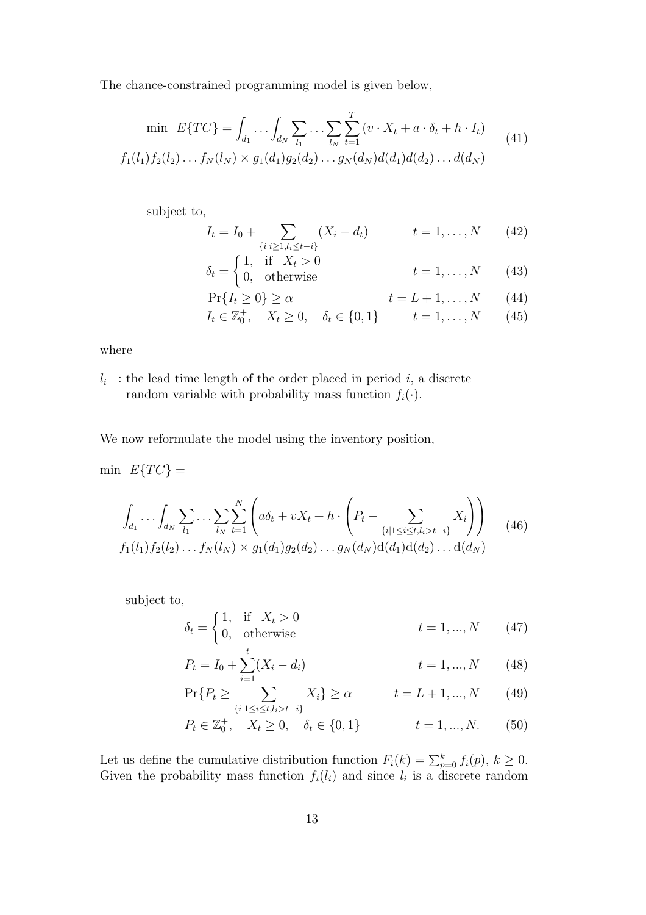The chance-constrained programming model is given below,

$$
\min \ E\{TC\} = \int_{d_1} \dots \int_{d_N} \sum_{l_1} \dots \sum_{l_N} \sum_{t=1}^T (v \cdot X_t + a \cdot \delta_t + h \cdot I_t)
$$
  

$$
f_1(l_1) f_2(l_2) \dots f_N(l_N) \times g_1(d_1) g_2(d_2) \dots g_N(d_N) d(d_1) d(d_2) \dots d(d_N)
$$
 (41)

subject to,

$$
I_t = I_0 + \sum_{\{i|i \ge 1, l_i \le t-i\}} (X_i - d_t) \qquad t = 1, ..., N \qquad (42)
$$

$$
\delta_t = \begin{cases}\n1, & \text{if } X_t > 0 \\
0, & \text{otherwise}\n\end{cases}\n\qquad t = 1, \dots, N\n\tag{43}
$$

$$
\Pr\{I_t \ge 0\} \ge \alpha \qquad \qquad t = L + 1, \dots, N \qquad (44)
$$

$$
I_t \in \mathbb{Z}_0^+, \quad X_t \ge 0, \quad \delta_t \in \{0, 1\} \qquad t = 1, ..., N \qquad (45)
$$

where

 $l_i$ : the lead time length of the order placed in period i, a discrete random variable with probability mass function  $f_i(\cdot)$ .

We now reformulate the model using the inventory position,

min  $E\{TC\} =$ 

$$
\int_{d_1} \cdots \int_{d_N} \sum_{l_1} \cdots \sum_{l_N} \sum_{t=1}^N \left( a \delta_t + v X_t + h \cdot \left( P_t - \sum_{\{i \mid 1 \le i \le t, l_i > t-i\}} X_i \right) \right) \tag{46}
$$
\n
$$
f_1(l_1) f_2(l_2) \cdots f_N(l_N) \times g_1(d_1) g_2(d_2) \cdots g_N(d_N) d(d_1) d(d_2) \cdots d(d_N)
$$

subject to,

$$
\delta_t = \begin{cases} 1, & \text{if } X_t > 0 \\ 0, & \text{otherwise} \end{cases} \qquad t = 1, \dots, N \qquad (47)
$$

$$
P_t = I_0 + \sum_{i=1}^t (X_i - d_i) \qquad \qquad t = 1, ..., N \qquad (48)
$$

$$
\Pr\{P_t \ge \sum_{\{i|1 \le i \le t, l_i > t - i\}} X_i\} \ge \alpha \qquad t = L + 1, ..., N \qquad (49)
$$

$$
P_t \in \mathbb{Z}_0^+, \quad X_t \ge 0, \quad \delta_t \in \{0, 1\}
$$
  $t = 1, ..., N.$  (50)

Let us define the cumulative distribution function  $F_i(k) = \sum_{p=0}^k f_i(p)$ ,  $k \ge 0$ . Given the probability mass function  $f_i(l_i)$  and since  $l_i$  is a discrete random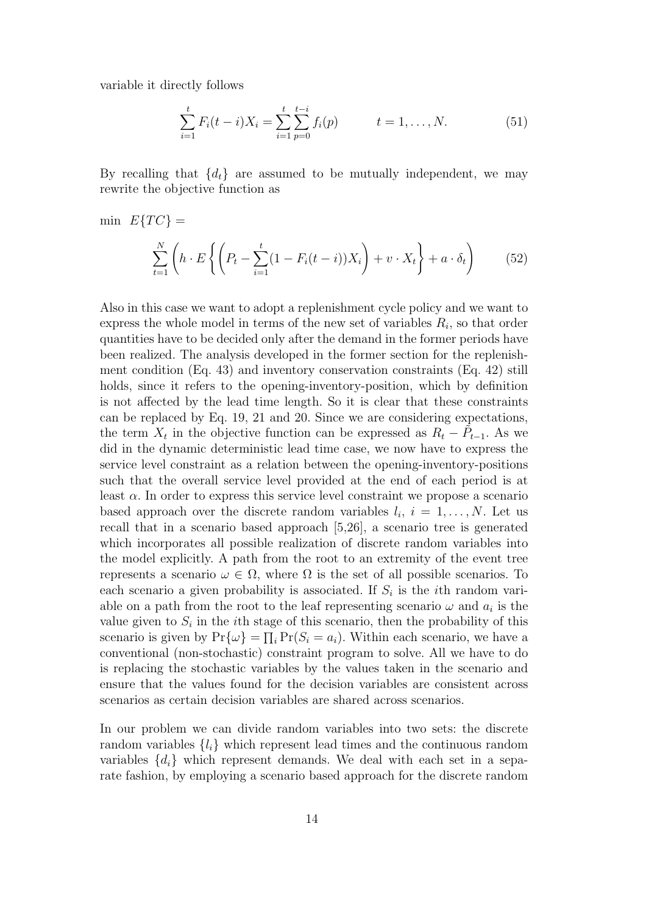variable it directly follows

$$
\sum_{i=1}^{t} F_i(t-i)X_i = \sum_{i=1}^{t} \sum_{p=0}^{t-i} f_i(p) \qquad t = 1, ..., N.
$$
 (51)

By recalling that  $\{d_t\}$  are assumed to be mutually independent, we may rewrite the objective function as

min 
$$
E\{TC\}
$$
 =  
\n
$$
\sum_{t=1}^{N} \left( h \cdot E\left\{ \left( P_t - \sum_{i=1}^{t} (1 - F_i(t - i))X_i \right) + v \cdot X_t \right\} + a \cdot \delta_t \right)
$$
(52)

Also in this case we want to adopt a replenishment cycle policy and we want to express the whole model in terms of the new set of variables  $R_i$ , so that order quantities have to be decided only after the demand in the former periods have been realized. The analysis developed in the former section for the replenishment condition (Eq. 43) and inventory conservation constraints (Eq. 42) still holds, since it refers to the opening-inventory-position, which by definition is not affected by the lead time length. So it is clear that these constraints can be replaced by Eq. 19, 21 and 20. Since we are considering expectations, the term  $X_t$  in the objective function can be expressed as  $R_t - \tilde{P}_{t-1}$ . As we did in the dynamic deterministic lead time case, we now have to express the service level constraint as a relation between the opening-inventory-positions such that the overall service level provided at the end of each period is at least  $\alpha$ . In order to express this service level constraint we propose a scenario based approach over the discrete random variables  $l_i$ ,  $i = 1, \ldots, N$ . Let us recall that in a scenario based approach [5,26], a scenario tree is generated which incorporates all possible realization of discrete random variables into the model explicitly. A path from the root to an extremity of the event tree represents a scenario  $\omega \in \Omega$ , where  $\Omega$  is the set of all possible scenarios. To each scenario a given probability is associated. If  $S_i$  is the *i*th random variable on a path from the root to the leaf representing scenario  $\omega$  and  $a_i$  is the value given to  $S_i$  in the *i*th stage of this scenario, then the probability of this scenario is given by  $Pr{\{\omega\}} = \prod_i Pr(S_i = a_i)$ . Within each scenario, we have a conventional (non-stochastic) constraint program to solve. All we have to do is replacing the stochastic variables by the values taken in the scenario and ensure that the values found for the decision variables are consistent across scenarios as certain decision variables are shared across scenarios.

In our problem we can divide random variables into two sets: the discrete random variables  $\{l_i\}$  which represent lead times and the continuous random variables  $\{d_i\}$  which represent demands. We deal with each set in a separate fashion, by employing a scenario based approach for the discrete random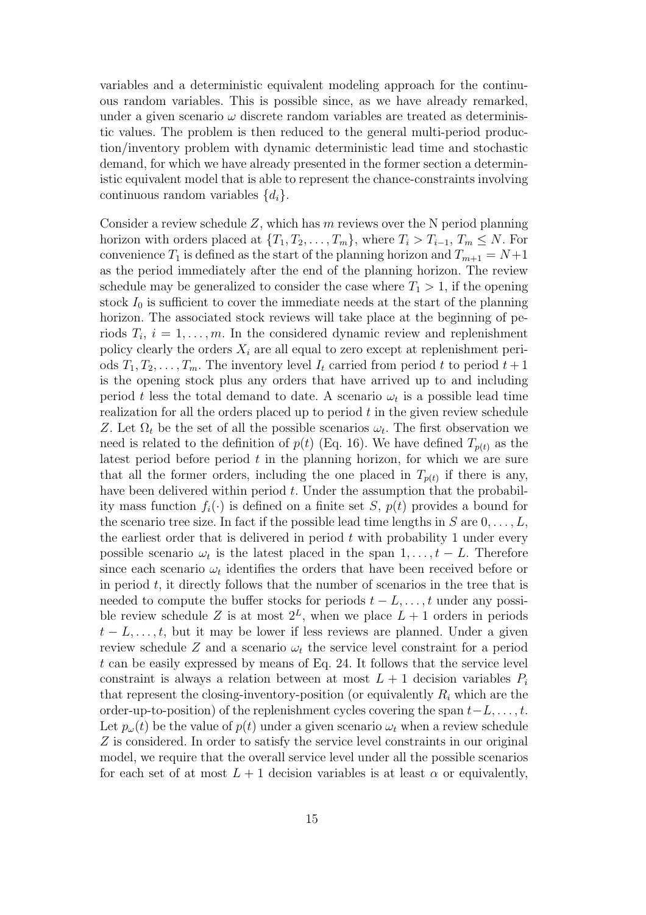variables and a deterministic equivalent modeling approach for the continuous random variables. This is possible since, as we have already remarked, under a given scenario  $\omega$  discrete random variables are treated as deterministic values. The problem is then reduced to the general multi-period production/inventory problem with dynamic deterministic lead time and stochastic demand, for which we have already presented in the former section a deterministic equivalent model that is able to represent the chance-constraints involving continuous random variables  $\{d_i\}.$ 

Consider a review schedule  $Z$ , which has m reviews over the N period planning horizon with orders placed at  $\{T_1, T_2, \ldots, T_m\}$ , where  $T_i > T_{i-1}, T_m \leq N$ . For convenience  $T_1$  is defined as the start of the planning horizon and  $T_{m+1} = N+1$ as the period immediately after the end of the planning horizon. The review schedule may be generalized to consider the case where  $T_1 > 1$ , if the opening stock  $I_0$  is sufficient to cover the immediate needs at the start of the planning horizon. The associated stock reviews will take place at the beginning of periods  $T_i$ ,  $i = 1, \ldots, m$ . In the considered dynamic review and replenishment policy clearly the orders  $X_i$  are all equal to zero except at replenishment periods  $T_1, T_2, \ldots, T_m$ . The inventory level  $I_t$  carried from period t to period  $t + 1$ is the opening stock plus any orders that have arrived up to and including period t less the total demand to date. A scenario  $\omega_t$  is a possible lead time realization for all the orders placed up to period t in the given review schedule Z. Let  $\Omega_t$  be the set of all the possible scenarios  $\omega_t$ . The first observation we need is related to the definition of  $p(t)$  (Eq. 16). We have defined  $T_{p(t)}$  as the latest period before period  $t$  in the planning horizon, for which we are sure that all the former orders, including the one placed in  $T_{p(t)}$  if there is any, have been delivered within period  $t$ . Under the assumption that the probability mass function  $f_i(\cdot)$  is defined on a finite set S,  $p(t)$  provides a bound for the scenario tree size. In fact if the possible lead time lengths in  $S$  are  $0, \ldots, L$ , the earliest order that is delivered in period  $t$  with probability 1 under every possible scenario  $\omega_t$  is the latest placed in the span  $1, \ldots, t - L$ . Therefore since each scenario  $\omega_t$  identifies the orders that have been received before or in period  $t$ , it directly follows that the number of scenarios in the tree that is needed to compute the buffer stocks for periods  $t - L, \ldots, t$  under any possible review schedule Z is at most  $2^L$ , when we place  $L+1$  orders in periods  $t - L, \ldots, t$ , but it may be lower if less reviews are planned. Under a given review schedule Z and a scenario  $\omega_t$  the service level constraint for a period  $t$  can be easily expressed by means of Eq. 24. It follows that the service level constraint is always a relation between at most  $L + 1$  decision variables  $P_i$ that represent the closing-inventory-position (or equivalently  $R_i$  which are the order-up-to-position) of the replenishment cycles covering the span  $t-L, \ldots, t$ . Let  $p_{\omega}(t)$  be the value of  $p(t)$  under a given scenario  $\omega_t$  when a review schedule Z is considered. In order to satisfy the service level constraints in our original model, we require that the overall service level under all the possible scenarios for each set of at most  $L + 1$  decision variables is at least  $\alpha$  or equivalently,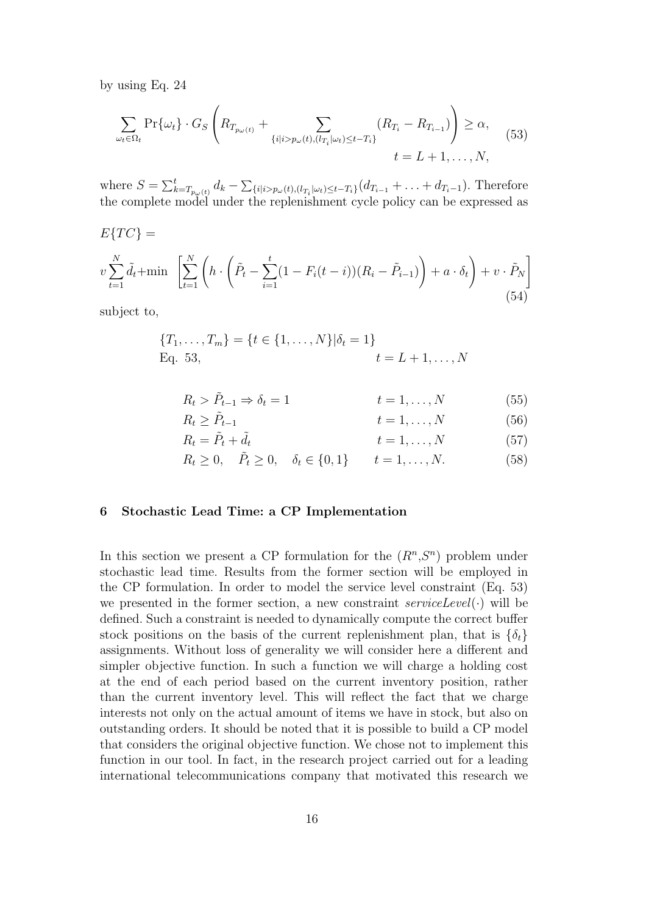by using Eq. 24

$$
\sum_{\omega_t \in \Omega_t} \Pr\{\omega_t\} \cdot G_S \left( R_{T_{p_\omega(t)}} + \sum_{\{i \mid i > p_\omega(t), (l_{T_i} \mid \omega_t) \le t - T_i\}} (R_{T_i} - R_{T_{i-1}}) \right) \ge \alpha, \tag{53}
$$
\n
$$
t = L + 1, \dots, N,
$$

where  $S = \sum_{k=1}^{t}$  $_{k=T_{p_{\omega}(t)}}^t d_k - \sum$  ${_{i|i>p_{\omega}(t),(l_{T_i}|\omega_t)\leq t-T_i}}(d_{T_{i-1}}+\ldots+d_{T_i-1}).$  Therefore the complete model under the replenishment cycle policy can be expressed as

$$
E\{TC\} = \nu \sum_{t=1}^{N} \tilde{d}_t + \min \left[ \sum_{t=1}^{N} \left( h \cdot \left( \tilde{P}_t - \sum_{i=1}^{t} (1 - F_i(t-i))(R_i - \tilde{P}_{i-1}) \right) + a \cdot \delta_t \right) + v \cdot \tilde{P}_N \right]
$$
\n(54)

subject to,

$$
{T_1, \ldots, T_m} = {t \in {1, \ldots, N} | \delta_t = 1}
$$
  
Eq. 53, 
$$
t = L + 1, \ldots, N
$$

$$
R_t > \tilde{P}_{t-1} \Rightarrow \delta_t = 1 \qquad t = 1, ..., N \qquad (55)
$$

$$
R_t \ge \tilde{P}_{t-1} \qquad \qquad t = 1, \dots, N \qquad (56)
$$

$$
R_t = \tilde{P}_t + \tilde{d}_t \qquad \qquad t = 1, \dots, N \qquad (57)
$$

$$
R_t \ge 0, \quad \tilde{P}_t \ge 0, \quad \delta_t \in \{0, 1\} \qquad t = 1, \dots, N. \tag{58}
$$

# 6 Stochastic Lead Time: a CP Implementation

In this section we present a CP formulation for the  $(R<sup>n</sup>, S<sup>n</sup>)$  problem under stochastic lead time. Results from the former section will be employed in the CP formulation. In order to model the service level constraint (Eq. 53) we presented in the former section, a new constraint  $serviceLevel(\cdot)$  will be defined. Such a constraint is needed to dynamically compute the correct buffer stock positions on the basis of the current replenishment plan, that is  $\{\delta_t\}$ assignments. Without loss of generality we will consider here a different and simpler objective function. In such a function we will charge a holding cost at the end of each period based on the current inventory position, rather than the current inventory level. This will reflect the fact that we charge interests not only on the actual amount of items we have in stock, but also on outstanding orders. It should be noted that it is possible to build a CP model that considers the original objective function. We chose not to implement this function in our tool. In fact, in the research project carried out for a leading international telecommunications company that motivated this research we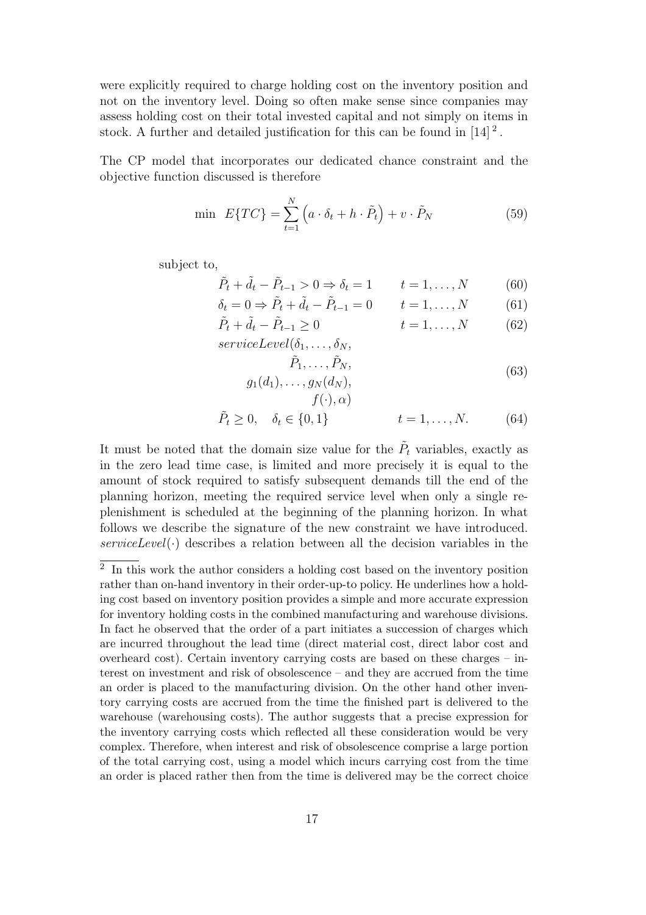were explicitly required to charge holding cost on the inventory position and not on the inventory level. Doing so often make sense since companies may assess holding cost on their total invested capital and not simply on items in stock. A further and detailed justification for this can be found in  $[14]$ <sup>2</sup>.

The CP model that incorporates our dedicated chance constraint and the objective function discussed is therefore

$$
\min \ E\{TC\} = \sum_{t=1}^{N} \left( a \cdot \delta_t + h \cdot \tilde{P}_t \right) + v \cdot \tilde{P}_N \tag{59}
$$

subject to,

$$
\tilde{P}_t + \tilde{d}_t - \tilde{P}_{t-1} > 0 \Rightarrow \delta_t = 1 \qquad t = 1, \dots, N \tag{60}
$$

$$
\delta_t = 0 \Rightarrow \tilde{P}_t + \tilde{d}_t - \tilde{P}_{t-1} = 0
$$
  $t = 1, ..., N$  (61)

$$
\tilde{P}_t + \tilde{d}_t - \tilde{P}_{t-1} \ge 0 \qquad t = 1, ..., N \qquad (62)
$$

 $serviceLevel(\delta_1, \ldots, \delta_N,$ 

 $f(\cdot), \alpha)$ 

$$
\tilde{P}_1, \dots, \tilde{P}_N,
$$
  
 
$$
g_1(d_1), \dots, g_N(d_N),
$$
 (63)

$$
\tilde{P}_t \ge 0, \quad \delta_t \in \{0, 1\}
$$
  $t = 1, ..., N.$  (64)

It must be noted that the domain size value for the  $\tilde{P}_t$  variables, exactly as in the zero lead time case, is limited and more precisely it is equal to the amount of stock required to satisfy subsequent demands till the end of the planning horizon, meeting the required service level when only a single replenishment is scheduled at the beginning of the planning horizon. In what follows we describe the signature of the new constraint we have introduced.  $serviceLevel(\cdot)$  describes a relation between all the decision variables in the

<sup>&</sup>lt;sup>2</sup> In this work the author considers a holding cost based on the inventory position rather than on-hand inventory in their order-up-to policy. He underlines how a holding cost based on inventory position provides a simple and more accurate expression for inventory holding costs in the combined manufacturing and warehouse divisions. In fact he observed that the order of a part initiates a succession of charges which are incurred throughout the lead time (direct material cost, direct labor cost and overheard cost). Certain inventory carrying costs are based on these charges – interest on investment and risk of obsolescence – and they are accrued from the time an order is placed to the manufacturing division. On the other hand other inventory carrying costs are accrued from the time the finished part is delivered to the warehouse (warehousing costs). The author suggests that a precise expression for the inventory carrying costs which reflected all these consideration would be very complex. Therefore, when interest and risk of obsolescence comprise a large portion of the total carrying cost, using a model which incurs carrying cost from the time an order is placed rather then from the time is delivered may be the correct choice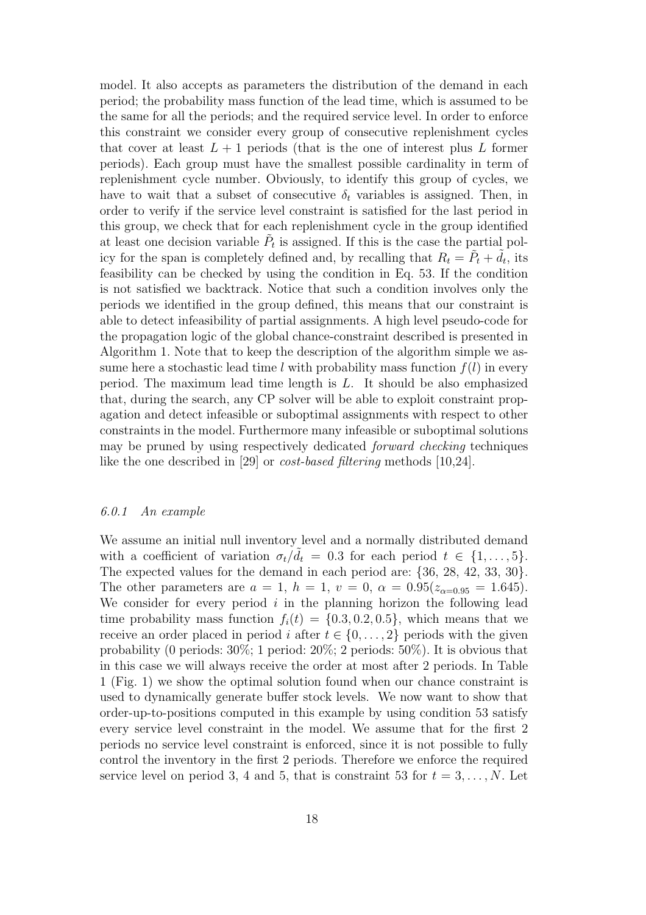model. It also accepts as parameters the distribution of the demand in each period; the probability mass function of the lead time, which is assumed to be the same for all the periods; and the required service level. In order to enforce this constraint we consider every group of consecutive replenishment cycles that cover at least  $L + 1$  periods (that is the one of interest plus L former periods). Each group must have the smallest possible cardinality in term of replenishment cycle number. Obviously, to identify this group of cycles, we have to wait that a subset of consecutive  $\delta_t$  variables is assigned. Then, in order to verify if the service level constraint is satisfied for the last period in this group, we check that for each replenishment cycle in the group identified at least one decision variable  $\tilde{P}_t$  is assigned. If this is the case the partial policy for the span is completely defined and, by recalling that  $R_t = \tilde{P}_t + \tilde{d}_t$ , its feasibility can be checked by using the condition in Eq. 53. If the condition is not satisfied we backtrack. Notice that such a condition involves only the periods we identified in the group defined, this means that our constraint is able to detect infeasibility of partial assignments. A high level pseudo-code for the propagation logic of the global chance-constraint described is presented in Algorithm 1. Note that to keep the description of the algorithm simple we assume here a stochastic lead time l with probability mass function  $f(l)$  in every period. The maximum lead time length is L. It should be also emphasized that, during the search, any CP solver will be able to exploit constraint propagation and detect infeasible or suboptimal assignments with respect to other constraints in the model. Furthermore many infeasible or suboptimal solutions may be pruned by using respectively dedicated forward checking techniques like the one described in [29] or cost-based filtering methods [10,24].

# 6.0.1 An example

We assume an initial null inventory level and a normally distributed demand with a coefficient of variation  $\sigma_t/\tilde{d}_t = 0.3$  for each period  $t \in \{1, \ldots, 5\}$ . The expected values for the demand in each period are: {36, 28, 42, 33, 30}. The other parameters are  $a = 1$ ,  $h = 1$ ,  $v = 0$ ,  $\alpha = 0.95(z_{\alpha=0.95} = 1.645)$ . We consider for every period  $i$  in the planning horizon the following lead time probability mass function  $f_i(t) = \{0.3, 0.2, 0.5\}$ , which means that we receive an order placed in period i after  $t \in \{0, \ldots, 2\}$  periods with the given probability (0 periods: 30%; 1 period: 20%; 2 periods: 50%). It is obvious that in this case we will always receive the order at most after 2 periods. In Table 1 (Fig. 1) we show the optimal solution found when our chance constraint is used to dynamically generate buffer stock levels. We now want to show that order-up-to-positions computed in this example by using condition 53 satisfy every service level constraint in the model. We assume that for the first 2 periods no service level constraint is enforced, since it is not possible to fully control the inventory in the first 2 periods. Therefore we enforce the required service level on period 3, 4 and 5, that is constraint 53 for  $t = 3, \ldots, N$ . Let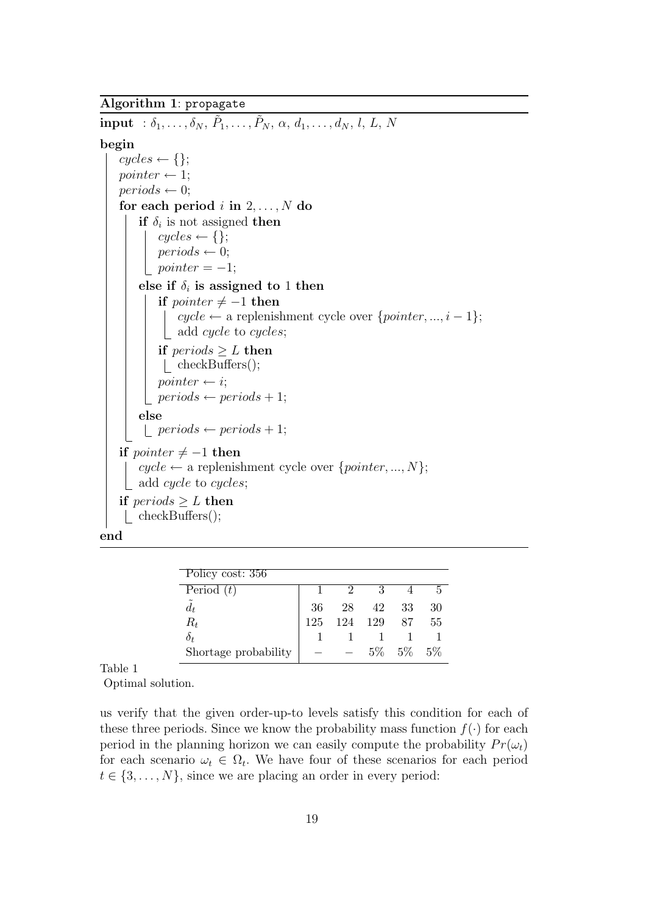# Algorithm 1: propagate

```
\textbf{input} \hspace{0.2cm}:\delta_1, \ldots, \delta_N, \, \tilde{P}_1, \ldots, \tilde{P}_N, \, \alpha, \, d_1, \ldots, d_N, \, l, \, L, \, Nbegin
    cycles \leftarrow \{\};pointer \leftarrow 1;
    periods \leftarrow 0;for each period i in 2, \ldots, N do
          if \delta_i is not assigned then
              cycles \leftarrow \{\};periods \leftarrow 0;\textit{pointer} = -1;else if \delta_i is assigned to 1 then
           if pointer \neq −1 then
               \big\{\int \psi cycle ← a replenishment cycle over {pointer, ..., i – 1};
             add cycle to cycles;
            if periods \geq L then
                   checkBuffers();
              pointer \leftarrow i;
              periods \leftarrow periods + 1;else
              periods \leftarrow periods + 1;if \textit{pointer} \neq -1 then
          cycle \leftarrow a replenishment cycle over \{pointer, ..., N\};add cycle to cycles;
     if periods \geq L then
      checkBuffers();
end
```

| Policy cost: 356     |     |         |     |             |    |
|----------------------|-----|---------|-----|-------------|----|
| Period $(t)$         |     | $\cdot$ | 3   |             |    |
| $\tilde{d}_t$        | 36  | 28      | 42  | 33          | 30 |
| $R_t$                | 125 | 124     | 129 | 87          | 55 |
| $\delta_t$           |     |         |     |             |    |
| Shortage probability |     |         |     | 5\% 5\% 5\% |    |

Table 1

Optimal solution.

us verify that the given order-up-to levels satisfy this condition for each of these three periods. Since we know the probability mass function  $f(\cdot)$  for each period in the planning horizon we can easily compute the probability  $Pr(\omega_t)$ for each scenario  $\omega_t \in \Omega_t$ . We have four of these scenarios for each period  $t \in \{3, \ldots, N\}$ , since we are placing an order in every period: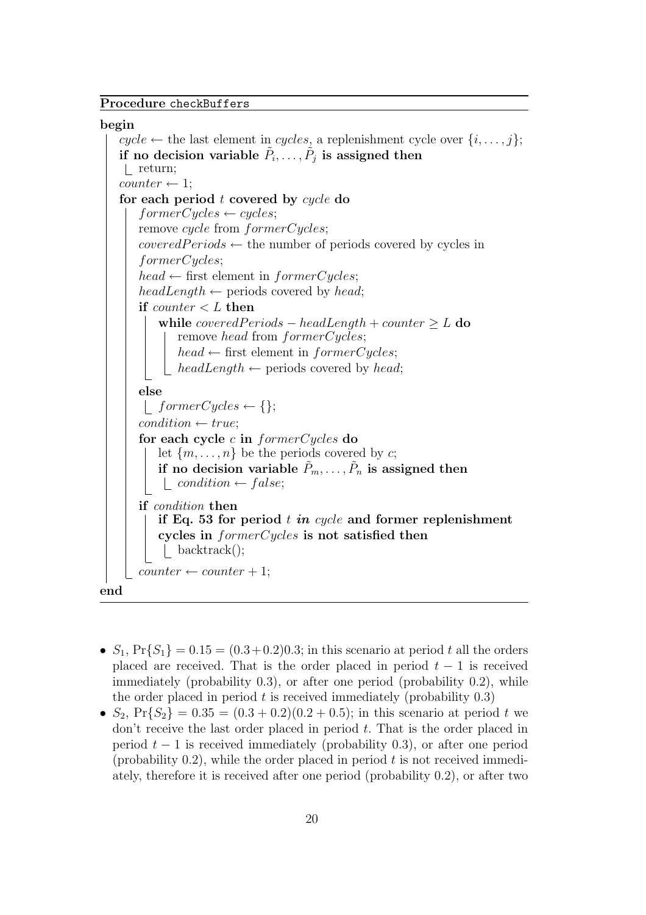# Procedure checkBuffers

#### begin

```
cycle \leftarrow the last element in cycles, a replenishment cycle over \{i, \ldots, j\};
    if no decision variable \tilde{P}_i, \ldots, \tilde{P}_j is assigned then
    return;
   counter \leftarrow 1;for each period t covered by cycle do
       for merCycles \leftarrow cycles;remove cycle from formerCycles;covered Periods \leftarrow the number of periods covered by cycles in
       formerCycles;
       head \leftarrow first element in formerCycles;headLength \leftarrow periods covered by head;
       if counter < L then
           while covered Periods - headLength + counter \geq L do
               remove head from formerCycles;
               head \leftarrow first element in formerCycles;headLength \leftarrow periods covered by head;
       else
        | formerCycles \leftarrow \{\};condition \leftarrow true:
       for each cycle c in formerCycles do
           let \{m, \ldots, n\} be the periods covered by c;
           if no decision variable \tilde{P}_m, \ldots, \tilde{P}_n is assigned then
            \Box condition \leftarrow false;
       if condition then
           if Eq. 53 for period t in cycle and former replenishment
           cycles in formerCycles is not satisfied then
            backtrack();
       counter \leftarrow counter + 1;end
```
- $S_1$ ,  $Pr{S_1} = 0.15 = (0.3 + 0.2)0.3$ ; in this scenario at period t all the orders placed are received. That is the order placed in period  $t-1$  is received immediately (probability 0.3), or after one period (probability 0.2), while the order placed in period  $t$  is received immediately (probability  $(0.3)$ )
- $S_2$ ,  $Pr{S_2} = 0.35 = (0.3 + 0.2)(0.2 + 0.5)$ ; in this scenario at period t we don't receive the last order placed in period t. That is the order placed in period  $t - 1$  is received immediately (probability 0.3), or after one period (probability  $(0.2)$ , while the order placed in period t is not received immediately, therefore it is received after one period (probability 0.2), or after two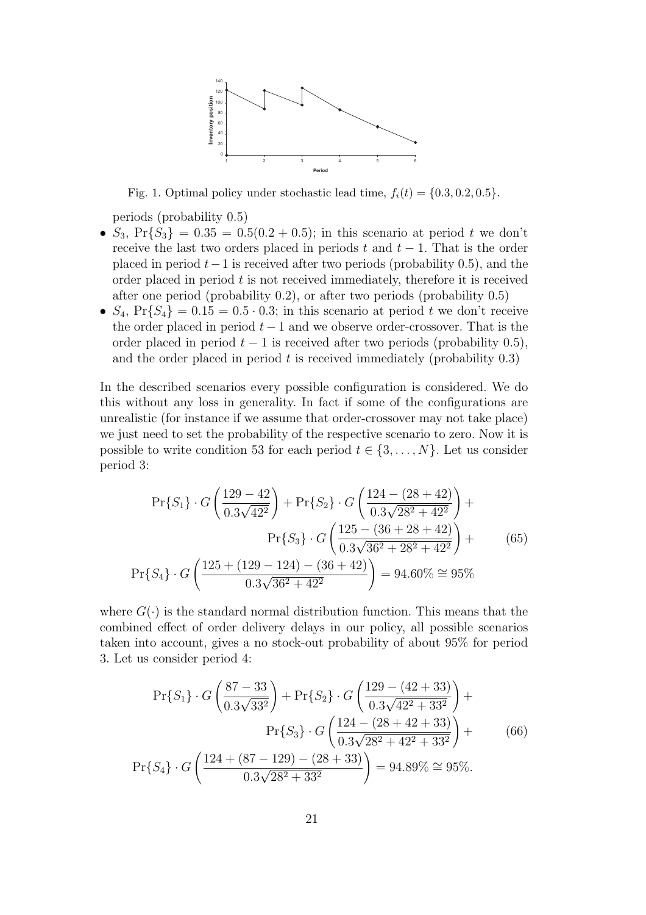

Fig. 1. Optimal policy under stochastic lead time,  $f_i(t) = \{0.3, 0.2, 0.5\}.$ 

periods (probability 0.5)

- $S_3$ ,  $Pr{S_3} = 0.35 = 0.5(0.2 + 0.5)$ ; in this scenario at period t we don't receive the last two orders placed in periods t and  $t-1$ . That is the order placed in period  $t-1$  is received after two periods (probability 0.5), and the order placed in period  $t$  is not received immediately, therefore it is received after one period (probability 0.2), or after two periods (probability 0.5)
- $S_4$ ,  $Pr{S_4} = 0.15 = 0.5 \cdot 0.3$ ; in this scenario at period t we don't receive the order placed in period  $t - 1$  and we observe order-crossover. That is the order placed in period  $t - 1$  is received after two periods (probability 0.5), and the order placed in period  $t$  is received immediately (probability  $(0.3)$ )

In the described scenarios every possible configuration is considered. We do this without any loss in generality. In fact if some of the configurations are unrealistic (for instance if we assume that order-crossover may not take place) we just need to set the probability of the respective scenario to zero. Now it is possible to write condition 53 for each period  $t \in \{3, \ldots, N\}$ . Let us consider period 3:

$$
\Pr\{S_1\} \cdot G\left(\frac{129 - 42}{0.3\sqrt{42^2}}\right) + \Pr\{S_2\} \cdot G\left(\frac{124 - (28 + 42)}{0.3\sqrt{28^2 + 42^2}}\right) + \Pr\{S_3\} \cdot G\left(\frac{125 - (36 + 28 + 42)}{0.3\sqrt{36^2 + 28^2 + 42^2}}\right) + \Pr\{S_4\} \cdot G\left(\frac{125 + (129 - 124) - (36 + 42)}{0.3\sqrt{36^2 + 42^2}}\right) = 94.60\% \approx 95\%
$$
\n(65)

where  $G(\cdot)$  is the standard normal distribution function. This means that the combined effect of order delivery delays in our policy, all possible scenarios taken into account, gives a no stock-out probability of about 95% for period 3. Let us consider period 4:

$$
\Pr\{S_1\} \cdot G\left(\frac{87-33}{0.3\sqrt{33^2}}\right) + \Pr\{S_2\} \cdot G\left(\frac{129 - (42+33)}{0.3\sqrt{42^2 + 33^2}}\right) + \Pr\{S_3\} \cdot G\left(\frac{124 - (28+42+33)}{0.3\sqrt{28^2 + 42^2 + 33^2}}\right) + \Pr\{S_4\} \cdot G\left(\frac{124 + (87-129) - (28+33)}{0.3\sqrt{28^2 + 33^2}}\right) = 94.89\% \approx 95\%.
$$
\n(66)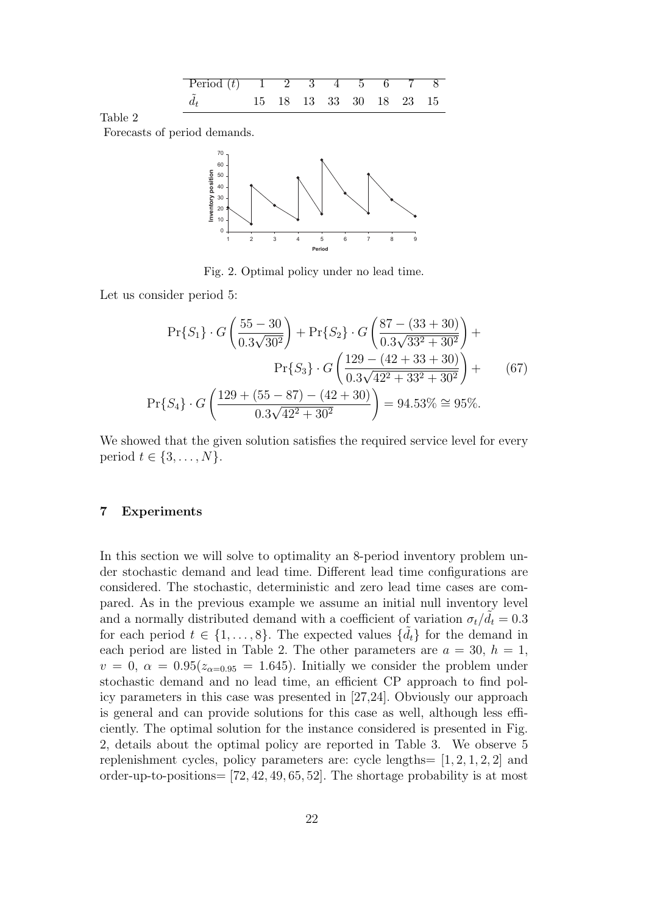

Forecasts of period demands.



Fig. 2. Optimal policy under no lead time.

Let us consider period 5:

$$
\Pr\{S_1\} \cdot G\left(\frac{55-30}{0.3\sqrt{30^2}}\right) + \Pr\{S_2\} \cdot G\left(\frac{87-(33+30)}{0.3\sqrt{33^2+30^2}}\right) + \Pr\{S_3\} \cdot G\left(\frac{129-(42+33+30)}{0.3\sqrt{42^2+33^2+30^2}}\right) + \Pr\{S_4\} \cdot G\left(\frac{129+(55-87)-(42+30)}{0.3\sqrt{42^2+30^2}}\right) = 94.53\% \approx 95\%.
$$
\n(67)

We showed that the given solution satisfies the required service level for every period  $t \in \{3, \ldots, N\}.$ 

## 7 Experiments

In this section we will solve to optimality an 8-period inventory problem under stochastic demand and lead time. Different lead time configurations are considered. The stochastic, deterministic and zero lead time cases are compared. As in the previous example we assume an initial null inventory level and a normally distributed demand with a coefficient of variation  $\sigma_t/\tilde{d}_t = 0.3$ for each period  $t \in \{1, \ldots, 8\}$ . The expected values  $\{\tilde{d}_t\}$  for the demand in each period are listed in Table 2. The other parameters are  $a = 30, h = 1$ ,  $v = 0$ ,  $\alpha = 0.95(z_{\alpha=0.95} = 1.645)$ . Initially we consider the problem under stochastic demand and no lead time, an efficient CP approach to find policy parameters in this case was presented in [27,24]. Obviously our approach is general and can provide solutions for this case as well, although less efficiently. The optimal solution for the instance considered is presented in Fig. 2, details about the optimal policy are reported in Table 3. We observe 5 replenishment cycles, policy parameters are: cycle lengths=  $[1, 2, 1, 2, 2]$  and order-up-to-positions= [72, 42, 49, 65, 52]. The shortage probability is at most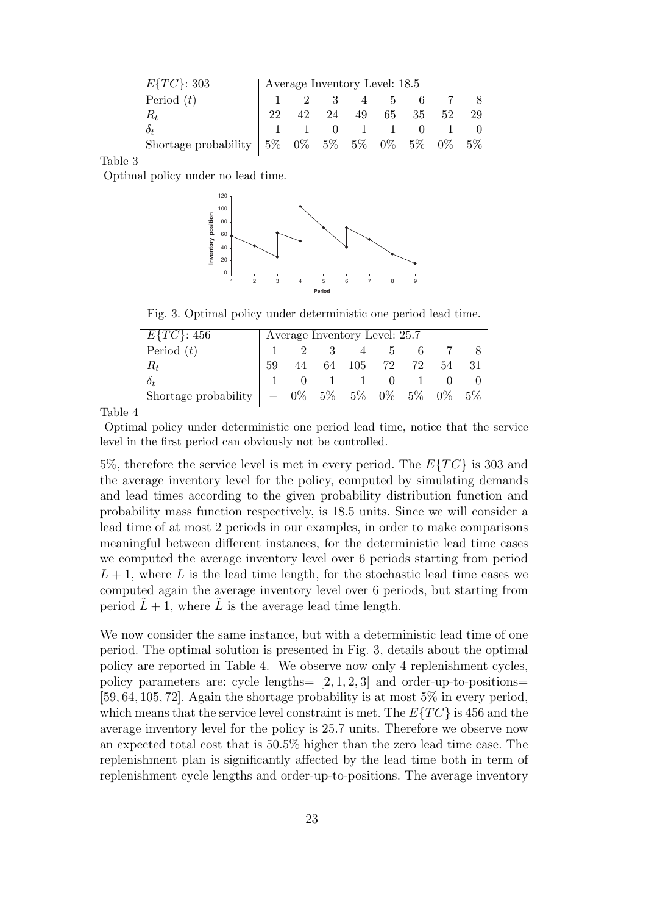| $E\{TC\}$ : 303                                            | Average Inventory Level: 18.5 |    |                           |    |     |      |    |    |
|------------------------------------------------------------|-------------------------------|----|---------------------------|----|-----|------|----|----|
| Period $(t)$                                               |                               |    | $\overline{\phantom{a}3}$ |    | 4 5 | $-6$ |    |    |
| $R_t$                                                      | 22                            | 42 | 24                        | 49 | 65  | 35   | 52 | 29 |
| $\delta_t$                                                 |                               |    | $\sim 0$                  |    |     |      |    |    |
| Shortage probability   $5\%$ 0% $5\%$ 0% 0% $5\%$ 0% 0% 5% |                               |    |                           |    |     |      |    |    |

Optimal policy under no lead time.



Fig. 3. Optimal policy under deterministic one period lead time.

| $E\{TC\}$ : 456      | Average Inventory Level: 25.7 |  |  |                               |               |  |       |       |
|----------------------|-------------------------------|--|--|-------------------------------|---------------|--|-------|-------|
| Period $(t)$         |                               |  |  | $2 \quad 3 \quad 4$           | $\mathcal{D}$ |  |       |       |
| $R_t$                | 59                            |  |  | $44 \t 64 \t 105 \t 72 \t 72$ |               |  | 54    |       |
| 0+                   |                               |  |  | $1 \quad 1 \quad 0$           |               |  |       |       |
| Shortage probability |                               |  |  | $0\%$ 5% 5% 0% 5%             |               |  | $0\%$ | $5\%$ |

Table 4

Optimal policy under deterministic one period lead time, notice that the service level in the first period can obviously not be controlled.

5%, therefore the service level is met in every period. The  $E\{TC\}$  is 303 and the average inventory level for the policy, computed by simulating demands and lead times according to the given probability distribution function and probability mass function respectively, is 18.5 units. Since we will consider a lead time of at most 2 periods in our examples, in order to make comparisons meaningful between different instances, for the deterministic lead time cases we computed the average inventory level over 6 periods starting from period  $L + 1$ , where L is the lead time length, for the stochastic lead time cases we computed again the average inventory level over 6 periods, but starting from period  $\tilde{L} + 1$ , where  $\tilde{L}$  is the average lead time length.

We now consider the same instance, but with a deterministic lead time of one period. The optimal solution is presented in Fig. 3, details about the optimal policy are reported in Table 4. We observe now only 4 replenishment cycles, policy parameters are: cycle lengths=  $[2, 1, 2, 3]$  and order-up-to-positions= [59, 64, 105, 72]. Again the shortage probability is at most 5% in every period, which means that the service level constraint is met. The  $E\{TC\}$  is 456 and the average inventory level for the policy is 25.7 units. Therefore we observe now an expected total cost that is 50.5% higher than the zero lead time case. The replenishment plan is significantly affected by the lead time both in term of replenishment cycle lengths and order-up-to-positions. The average inventory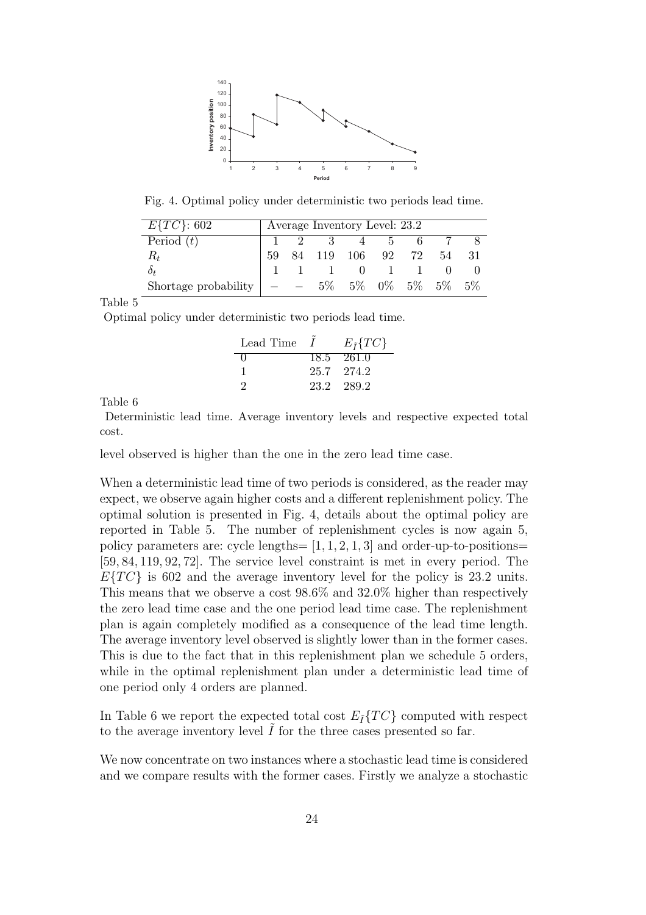

Fig. 4. Optimal policy under deterministic two periods lead time.

| $E\{TC\}$ : 602      | Average Inventory Level: 23.2 |  |  |                     |  |  |    |  |
|----------------------|-------------------------------|--|--|---------------------|--|--|----|--|
| Period $(t)$         |                               |  |  | $1 \t2 \t3 \t4 \t5$ |  |  |    |  |
| $R_t$                | 59                            |  |  | 84 119 106 92 72    |  |  | 54 |  |
| Òt                   |                               |  |  | 1 1 0 1             |  |  |    |  |
| Shortage probability |                               |  |  | 5% 5% 0% 5% 5% 5%   |  |  |    |  |

Optimal policy under deterministic two periods lead time.

| Lead Time    | $\boldsymbol{I}$ | $E_{\tilde{I}}\{TC\}$ |
|--------------|------------------|-----------------------|
| $\mathbf{0}$ |                  | 18.5 261.0            |
| $\mathbf{I}$ |                  | 25.7 274.2            |
| ')           |                  | 23.2 289.2            |

Table 6

Deterministic lead time. Average inventory levels and respective expected total cost.

level observed is higher than the one in the zero lead time case.

When a deterministic lead time of two periods is considered, as the reader may expect, we observe again higher costs and a different replenishment policy. The optimal solution is presented in Fig. 4, details about the optimal policy are reported in Table 5. The number of replenishment cycles is now again 5, policy parameters are: cycle lengths=  $[1, 1, 2, 1, 3]$  and order-up-to-positions= [59, 84, 119, 92, 72]. The service level constraint is met in every period. The  $E\{TC\}$  is 602 and the average inventory level for the policy is 23.2 units. This means that we observe a cost 98.6% and 32.0% higher than respectively the zero lead time case and the one period lead time case. The replenishment plan is again completely modified as a consequence of the lead time length. The average inventory level observed is slightly lower than in the former cases. This is due to the fact that in this replenishment plan we schedule 5 orders, while in the optimal replenishment plan under a deterministic lead time of one period only 4 orders are planned.

In Table 6 we report the expected total cost  $E_{\tilde{I}}\{TC\}$  computed with respect to the average inventory level  $\tilde{I}$  for the three cases presented so far.

We now concentrate on two instances where a stochastic lead time is considered and we compare results with the former cases. Firstly we analyze a stochastic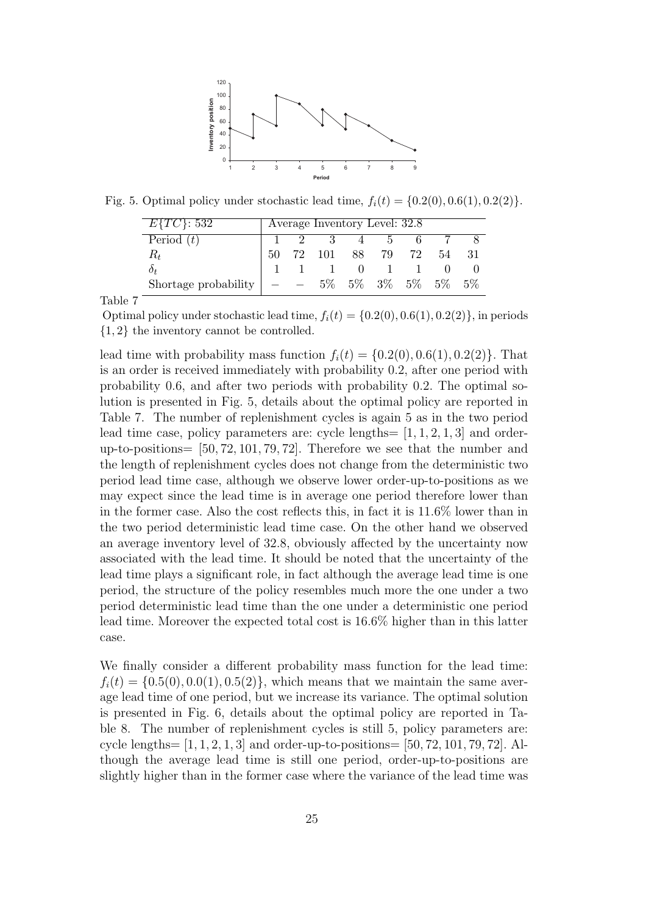

Fig. 5. Optimal policy under stochastic lead time,  $f_i(t) = \{0.2(0), 0.6(1), 0.2(2)\}.$ 

| $E\{TC\}$ : 532      | Average Inventory Level: 32.8 |  |                                                                                                                                 |  |              |  |    |       |
|----------------------|-------------------------------|--|---------------------------------------------------------------------------------------------------------------------------------|--|--------------|--|----|-------|
| Period $(t)$         |                               |  | $1 \quad 2 \quad 3 \quad 4 \quad 5 \quad 6$                                                                                     |  |              |  |    |       |
| $R_t$                | 50                            |  | $\begin{array}{cccc} \n\begin{array}{ccc}\n\begin{array}{ccc}\n\end{array} & 72 & 101 & 88 & 79 & 72\n\end{array}\n\end{array}$ |  |              |  | 54 | - 31  |
| $\delta_t$           |                               |  |                                                                                                                                 |  | $0 \qquad 1$ |  |    |       |
| Shortage probability |                               |  | $-$ 5% 5% 3% 5% 5%                                                                                                              |  |              |  |    | $5\%$ |

Optimal policy under stochastic lead time,  $f_i(t) = \{0.2(0), 0.6(1), 0.2(2)\}\,$ , in periods {1, 2} the inventory cannot be controlled.

lead time with probability mass function  $f_i(t) = \{0.2(0), 0.6(1), 0.2(2)\}\.$  That is an order is received immediately with probability 0.2, after one period with probability 0.6, and after two periods with probability 0.2. The optimal solution is presented in Fig. 5, details about the optimal policy are reported in Table 7. The number of replenishment cycles is again 5 as in the two period lead time case, policy parameters are: cycle lengths=  $[1, 1, 2, 1, 3]$  and orderup-to-positions= [50, 72, 101, 79, 72]. Therefore we see that the number and the length of replenishment cycles does not change from the deterministic two period lead time case, although we observe lower order-up-to-positions as we may expect since the lead time is in average one period therefore lower than in the former case. Also the cost reflects this, in fact it is 11.6% lower than in the two period deterministic lead time case. On the other hand we observed an average inventory level of 32.8, obviously affected by the uncertainty now associated with the lead time. It should be noted that the uncertainty of the lead time plays a significant role, in fact although the average lead time is one period, the structure of the policy resembles much more the one under a two period deterministic lead time than the one under a deterministic one period lead time. Moreover the expected total cost is 16.6% higher than in this latter case.

We finally consider a different probability mass function for the lead time:  $f_i(t) = \{0.5(0), 0.0(1), 0.5(2)\}\,$ , which means that we maintain the same average lead time of one period, but we increase its variance. The optimal solution is presented in Fig. 6, details about the optimal policy are reported in Table 8. The number of replenishment cycles is still 5, policy parameters are: cycle lengths=  $[1, 1, 2, 1, 3]$  and order-up-to-positions=  $[50, 72, 101, 79, 72]$ . Although the average lead time is still one period, order-up-to-positions are slightly higher than in the former case where the variance of the lead time was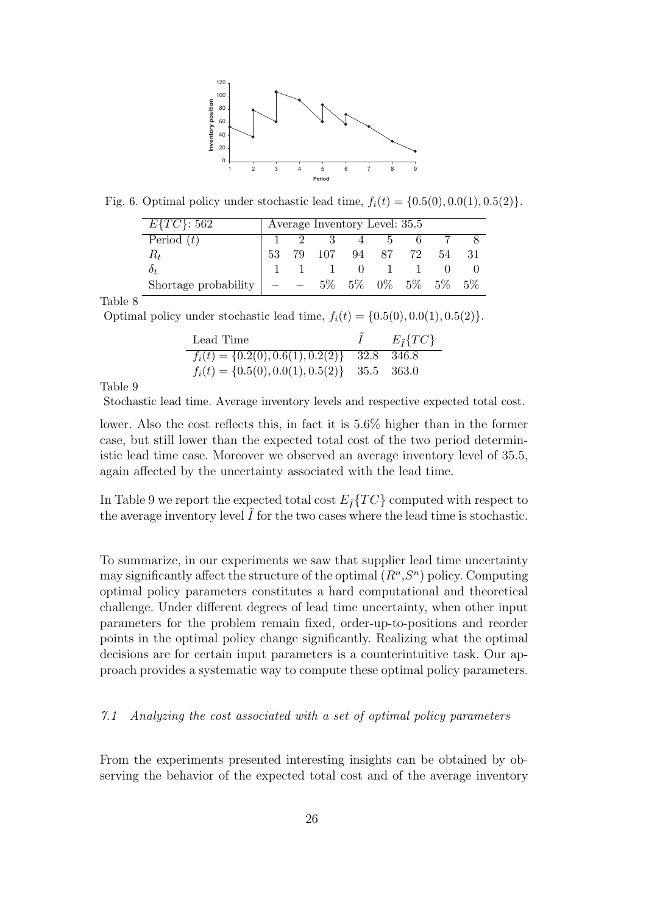

Fig. 6. Optimal policy under stochastic lead time,  $f_i(t) = \{0.5(0), 0.0(1), 0.5(2)\}.$ 

| $E\{TC\}$ : 562      |    | Average Inventory Level: 35.5 |           |            |                               |    |
|----------------------|----|-------------------------------|-----------|------------|-------------------------------|----|
| Period $(t)$         |    | $1 \quad 2 \quad 3$           |           | $4\quad 5$ |                               |    |
| $R_t$                | 53 | 79 107 94 87 72               |           |            | 54                            |    |
| $\delta_t$           |    |                               | $\bigcup$ |            |                               |    |
| Shortage probability |    |                               |           |            | $5\%$ $5\%$ $0\%$ $5\%$ $5\%$ | 5% |

Optimal policy under stochastic lead time,  $f_i(t) = \{0.5(0), 0.0(1), 0.5(2)\}.$ 

| Lead Time                                         | $E_{\tilde{I}}\{TC\}$ |
|---------------------------------------------------|-----------------------|
| $f_i(t) = \{0.2(0), 0.6(1), 0.2(2)\}\$ 32.8 346.8 |                       |
| $f_i(t) = \{0.5(0), 0.0(1), 0.5(2)\}\$ 35.5 363.0 |                       |

Table 9

Stochastic lead time. Average inventory levels and respective expected total cost.

lower. Also the cost reflects this, in fact it is 5.6% higher than in the former case, but still lower than the expected total cost of the two period deterministic lead time case. Moreover we observed an average inventory level of 35.5, again affected by the uncertainty associated with the lead time.

In Table 9 we report the expected total cost  $E_{\tilde{I}}\{TC\}$  computed with respect to the average inventory level  $I$  for the two cases where the lead time is stochastic.

To summarize, in our experiments we saw that supplier lead time uncertainty may significantly affect the structure of the optimal  $(R^n, S^n)$  policy. Computing optimal policy parameters constitutes a hard computational and theoretical challenge. Under different degrees of lead time uncertainty, when other input parameters for the problem remain fixed, order-up-to-positions and reorder points in the optimal policy change significantly. Realizing what the optimal decisions are for certain input parameters is a counterintuitive task. Our approach provides a systematic way to compute these optimal policy parameters.

## 7.1 Analyzing the cost associated with a set of optimal policy parameters

From the experiments presented interesting insights can be obtained by observing the behavior of the expected total cost and of the average inventory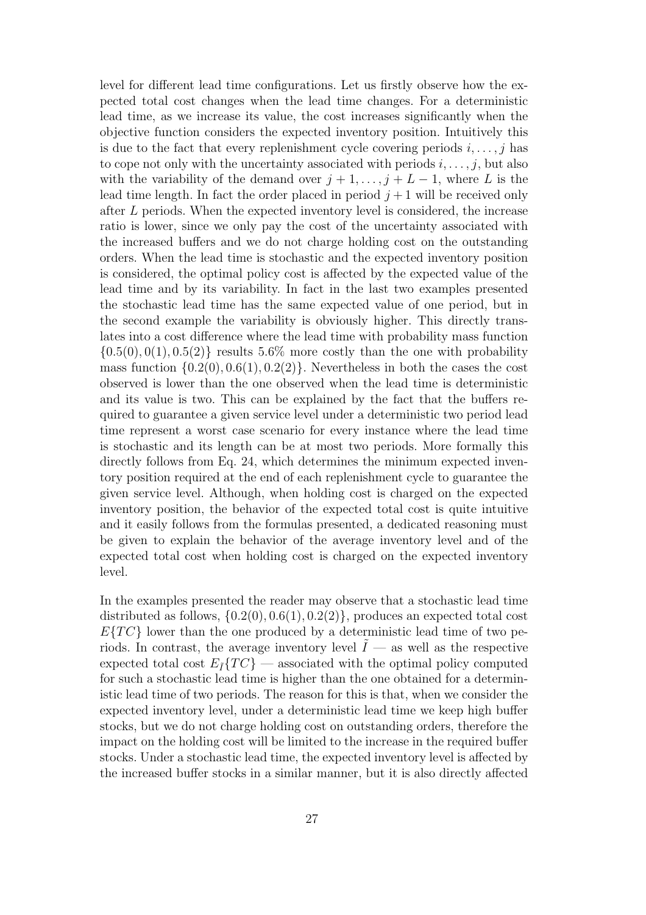level for different lead time configurations. Let us firstly observe how the expected total cost changes when the lead time changes. For a deterministic lead time, as we increase its value, the cost increases significantly when the objective function considers the expected inventory position. Intuitively this is due to the fact that every replenishment cycle covering periods  $i, \ldots, j$  has to cope not only with the uncertainty associated with periods  $i, \ldots, j$ , but also with the variability of the demand over  $j + 1, \ldots, j + L - 1$ , where L is the lead time length. In fact the order placed in period  $j+1$  will be received only after L periods. When the expected inventory level is considered, the increase ratio is lower, since we only pay the cost of the uncertainty associated with the increased buffers and we do not charge holding cost on the outstanding orders. When the lead time is stochastic and the expected inventory position is considered, the optimal policy cost is affected by the expected value of the lead time and by its variability. In fact in the last two examples presented the stochastic lead time has the same expected value of one period, but in the second example the variability is obviously higher. This directly translates into a cost difference where the lead time with probability mass function  $\{0.5(0), 0(1), 0.5(2)\}\$  results 5.6% more costly than the one with probability mass function  $\{0.2(0), 0.6(1), 0.2(2)\}\.$  Nevertheless in both the cases the cost observed is lower than the one observed when the lead time is deterministic and its value is two. This can be explained by the fact that the buffers required to guarantee a given service level under a deterministic two period lead time represent a worst case scenario for every instance where the lead time is stochastic and its length can be at most two periods. More formally this directly follows from Eq. 24, which determines the minimum expected inventory position required at the end of each replenishment cycle to guarantee the given service level. Although, when holding cost is charged on the expected inventory position, the behavior of the expected total cost is quite intuitive and it easily follows from the formulas presented, a dedicated reasoning must be given to explain the behavior of the average inventory level and of the expected total cost when holding cost is charged on the expected inventory level.

In the examples presented the reader may observe that a stochastic lead time distributed as follows,  $\{0.2(0), 0.6(1), 0.2(2)\}\$ , produces an expected total cost  $E\{TC\}$  lower than the one produced by a deterministic lead time of two periods. In contrast, the average inventory level  $\tilde{I}$  — as well as the respective expected total cost  $E_{\tilde{I}}\{TC\}$  — associated with the optimal policy computed for such a stochastic lead time is higher than the one obtained for a deterministic lead time of two periods. The reason for this is that, when we consider the expected inventory level, under a deterministic lead time we keep high buffer stocks, but we do not charge holding cost on outstanding orders, therefore the impact on the holding cost will be limited to the increase in the required buffer stocks. Under a stochastic lead time, the expected inventory level is affected by the increased buffer stocks in a similar manner, but it is also directly affected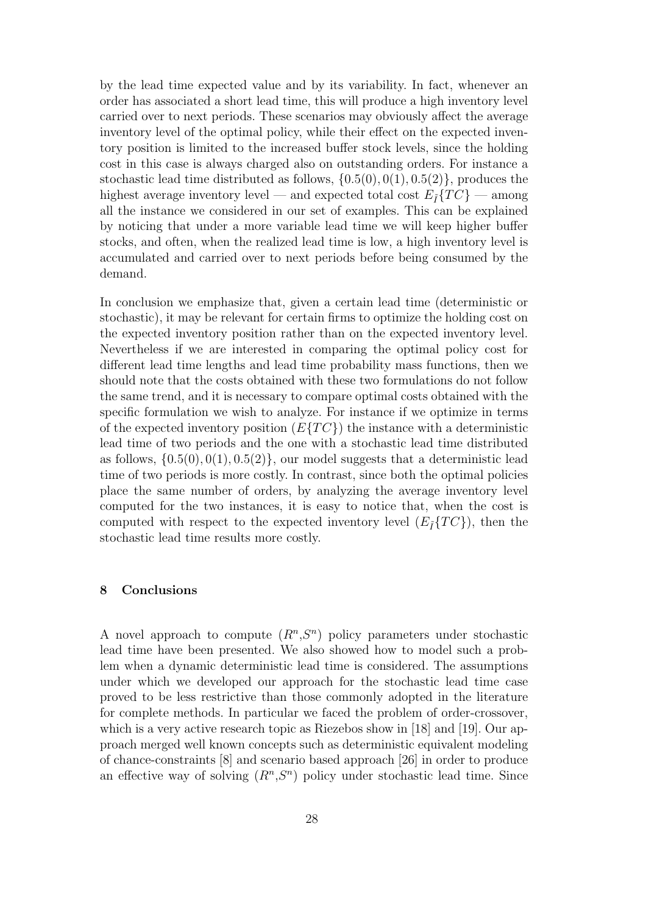by the lead time expected value and by its variability. In fact, whenever an order has associated a short lead time, this will produce a high inventory level carried over to next periods. These scenarios may obviously affect the average inventory level of the optimal policy, while their effect on the expected inventory position is limited to the increased buffer stock levels, since the holding cost in this case is always charged also on outstanding orders. For instance a stochastic lead time distributed as follows,  $\{0.5(0), 0(1), 0.5(2)\}\text{, produces the}$ highest average inventory level — and expected total cost  $E_{\tilde{I}}\{TC\}$  — among all the instance we considered in our set of examples. This can be explained by noticing that under a more variable lead time we will keep higher buffer stocks, and often, when the realized lead time is low, a high inventory level is accumulated and carried over to next periods before being consumed by the demand.

In conclusion we emphasize that, given a certain lead time (deterministic or stochastic), it may be relevant for certain firms to optimize the holding cost on the expected inventory position rather than on the expected inventory level. Nevertheless if we are interested in comparing the optimal policy cost for different lead time lengths and lead time probability mass functions, then we should note that the costs obtained with these two formulations do not follow the same trend, and it is necessary to compare optimal costs obtained with the specific formulation we wish to analyze. For instance if we optimize in terms of the expected inventory position  $(E\{TC\})$  the instance with a deterministic lead time of two periods and the one with a stochastic lead time distributed as follows,  $\{0.5(0), 0(1), 0.5(2)\}\$ , our model suggests that a deterministic lead time of two periods is more costly. In contrast, since both the optimal policies place the same number of orders, by analyzing the average inventory level computed for the two instances, it is easy to notice that, when the cost is computed with respect to the expected inventory level  $(E_{\tilde{I}}\{TC\})$ , then the stochastic lead time results more costly.

# 8 Conclusions

A novel approach to compute  $(R^n, S^n)$  policy parameters under stochastic lead time have been presented. We also showed how to model such a problem when a dynamic deterministic lead time is considered. The assumptions under which we developed our approach for the stochastic lead time case proved to be less restrictive than those commonly adopted in the literature for complete methods. In particular we faced the problem of order-crossover, which is a very active research topic as Riezebos show in [18] and [19]. Our approach merged well known concepts such as deterministic equivalent modeling of chance-constraints [8] and scenario based approach [26] in order to produce an effective way of solving  $(R^n, S^n)$  policy under stochastic lead time. Since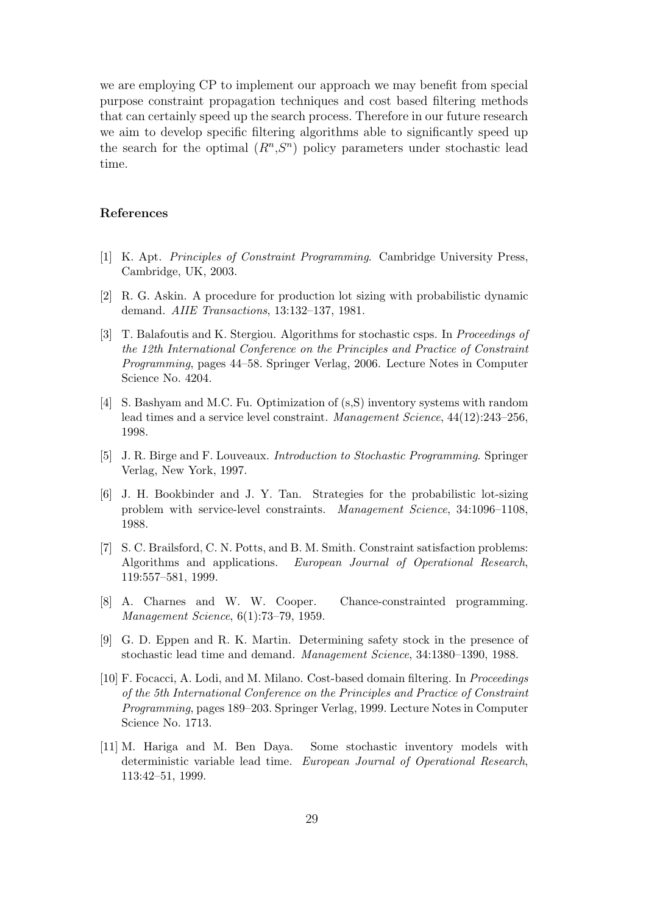we are employing CP to implement our approach we may benefit from special purpose constraint propagation techniques and cost based filtering methods that can certainly speed up the search process. Therefore in our future research we aim to develop specific filtering algorithms able to significantly speed up the search for the optimal  $(R^n, S^n)$  policy parameters under stochastic lead time.

## References

- [1] K. Apt. Principles of Constraint Programming. Cambridge University Press, Cambridge, UK, 2003.
- [2] R. G. Askin. A procedure for production lot sizing with probabilistic dynamic demand. AIIE Transactions, 13:132–137, 1981.
- [3] T. Balafoutis and K. Stergiou. Algorithms for stochastic csps. In *Proceedings of* the 12th International Conference on the Principles and Practice of Constraint Programming, pages 44–58. Springer Verlag, 2006. Lecture Notes in Computer Science No. 4204.
- [4] S. Bashyam and M.C. Fu. Optimization of (s,S) inventory systems with random lead times and a service level constraint. Management Science, 44(12):243–256, 1998.
- [5] J. R. Birge and F. Louveaux. Introduction to Stochastic Programming. Springer Verlag, New York, 1997.
- [6] J. H. Bookbinder and J. Y. Tan. Strategies for the probabilistic lot-sizing problem with service-level constraints. Management Science, 34:1096–1108, 1988.
- [7] S. C. Brailsford, C. N. Potts, and B. M. Smith. Constraint satisfaction problems: Algorithms and applications. European Journal of Operational Research, 119:557–581, 1999.
- [8] A. Charnes and W. W. Cooper. Chance-constrainted programming. Management Science, 6(1):73–79, 1959.
- [9] G. D. Eppen and R. K. Martin. Determining safety stock in the presence of stochastic lead time and demand. Management Science, 34:1380–1390, 1988.
- [10] F. Focacci, A. Lodi, and M. Milano. Cost-based domain filtering. In Proceedings of the 5th International Conference on the Principles and Practice of Constraint Programming, pages 189–203. Springer Verlag, 1999. Lecture Notes in Computer Science No. 1713.
- [11] M. Hariga and M. Ben Daya. Some stochastic inventory models with deterministic variable lead time. European Journal of Operational Research, 113:42–51, 1999.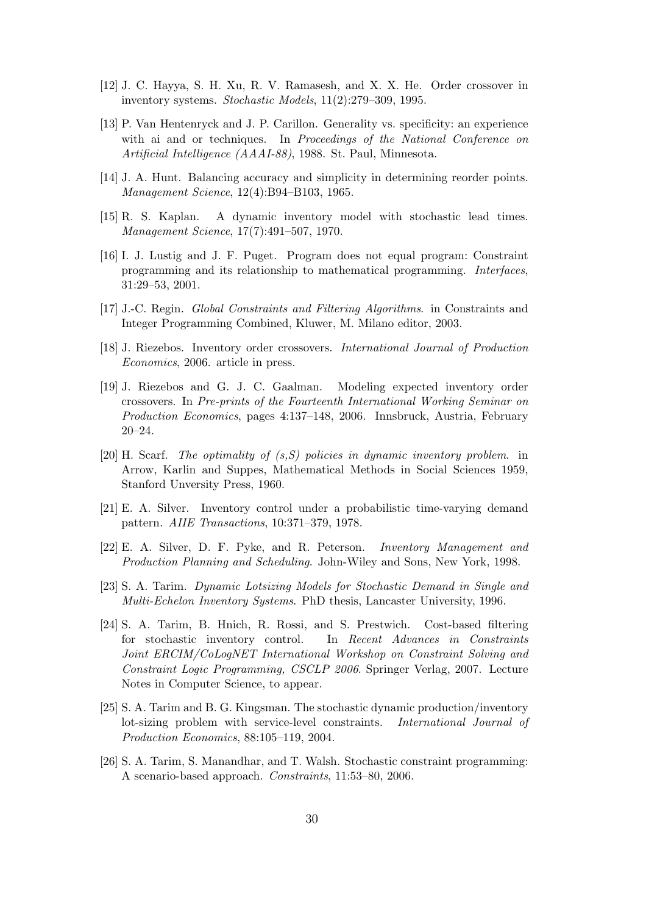- [12] J. C. Hayya, S. H. Xu, R. V. Ramasesh, and X. X. He. Order crossover in inventory systems. Stochastic Models, 11(2):279–309, 1995.
- [13] P. Van Hentenryck and J. P. Carillon. Generality vs. specificity: an experience with ai and or techniques. In Proceedings of the National Conference on Artificial Intelligence (AAAI-88), 1988. St. Paul, Minnesota.
- [14] J. A. Hunt. Balancing accuracy and simplicity in determining reorder points. Management Science, 12(4):B94–B103, 1965.
- [15] R. S. Kaplan. A dynamic inventory model with stochastic lead times. Management Science, 17(7):491–507, 1970.
- [16] I. J. Lustig and J. F. Puget. Program does not equal program: Constraint programming and its relationship to mathematical programming. Interfaces, 31:29–53, 2001.
- [17] J.-C. Regin. Global Constraints and Filtering Algorithms. in Constraints and Integer Programming Combined, Kluwer, M. Milano editor, 2003.
- [18] J. Riezebos. Inventory order crossovers. International Journal of Production Economics, 2006. article in press.
- [19] J. Riezebos and G. J. C. Gaalman. Modeling expected inventory order crossovers. In Pre-prints of the Fourteenth International Working Seminar on Production Economics, pages 4:137–148, 2006. Innsbruck, Austria, February 20–24.
- [20] H. Scarf. The optimality of (s,S) policies in dynamic inventory problem. in Arrow, Karlin and Suppes, Mathematical Methods in Social Sciences 1959, Stanford Unversity Press, 1960.
- [21] E. A. Silver. Inventory control under a probabilistic time-varying demand pattern. AIIE Transactions, 10:371–379, 1978.
- [22] E. A. Silver, D. F. Pyke, and R. Peterson. Inventory Management and Production Planning and Scheduling. John-Wiley and Sons, New York, 1998.
- [23] S. A. Tarim. Dynamic Lotsizing Models for Stochastic Demand in Single and Multi-Echelon Inventory Systems. PhD thesis, Lancaster University, 1996.
- [24] S. A. Tarim, B. Hnich, R. Rossi, and S. Prestwich. Cost-based filtering for stochastic inventory control. In Recent Advances in Constraints Joint ERCIM/CoLogNET International Workshop on Constraint Solving and Constraint Logic Programming, CSCLP 2006. Springer Verlag, 2007. Lecture Notes in Computer Science, to appear.
- [25] S. A. Tarim and B. G. Kingsman. The stochastic dynamic production/inventory lot-sizing problem with service-level constraints. International Journal of Production Economics, 88:105–119, 2004.
- [26] S. A. Tarim, S. Manandhar, and T. Walsh. Stochastic constraint programming: A scenario-based approach. Constraints, 11:53–80, 2006.